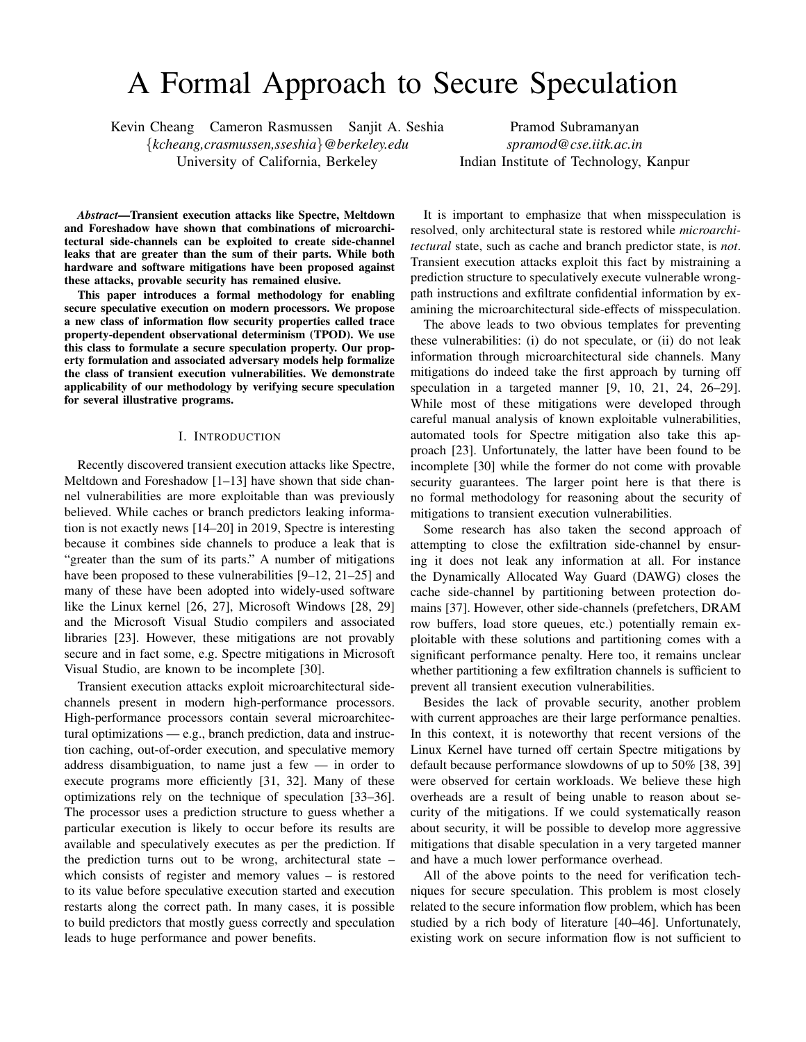# A Formal Approach to Secure Speculation

Kevin Cheang Cameron Rasmussen Sanjit A. Seshia Pramod Subramanyan

{*kcheang,crasmussen,sseshia*}*@berkeley.edu spramod@cse.iitk.ac.in*

University of California, Berkeley Indian Institute of Technology, Kanpur

*Abstract*—Transient execution attacks like Spectre, Meltdown and Foreshadow have shown that combinations of microarchitectural side-channels can be exploited to create side-channel leaks that are greater than the sum of their parts. While both hardware and software mitigations have been proposed against these attacks, provable security has remained elusive.

This paper introduces a formal methodology for enabling secure speculative execution on modern processors. We propose a new class of information flow security properties called trace property-dependent observational determinism (TPOD). We use this class to formulate a secure speculation property. Our property formulation and associated adversary models help formalize the class of transient execution vulnerabilities. We demonstrate applicability of our methodology by verifying secure speculation for several illustrative programs.

#### I. INTRODUCTION

Recently discovered transient execution attacks like Spectre, Meltdown and Foreshadow [\[1–](#page-14-0)[13\]](#page-14-1) have shown that side channel vulnerabilities are more exploitable than was previously believed. While caches or branch predictors leaking information is not exactly news [\[14](#page-14-2)[–20\]](#page-14-3) in 2019, Spectre is interesting because it combines side channels to produce a leak that is "greater than the sum of its parts." A number of mitigations have been proposed to these vulnerabilities [\[9–](#page-14-4)[12,](#page-14-5) [21](#page-14-6)[–25\]](#page-15-0) and many of these have been adopted into widely-used software like the Linux kernel [\[26,](#page-15-1) [27\]](#page-15-2), Microsoft Windows [\[28,](#page-15-3) [29\]](#page-15-4) and the Microsoft Visual Studio compilers and associated libraries [\[23\]](#page-15-5). However, these mitigations are not provably secure and in fact some, e.g. Spectre mitigations in Microsoft Visual Studio, are known to be incomplete [\[30\]](#page-15-6).

Transient execution attacks exploit microarchitectural sidechannels present in modern high-performance processors. High-performance processors contain several microarchitectural optimizations — e.g., branch prediction, data and instruction caching, out-of-order execution, and speculative memory address disambiguation, to name just a few — in order to execute programs more efficiently [\[31,](#page-15-7) [32\]](#page-15-8). Many of these optimizations rely on the technique of speculation [\[33](#page-15-9)[–36\]](#page-15-10). The processor uses a prediction structure to guess whether a particular execution is likely to occur before its results are available and speculatively executes as per the prediction. If the prediction turns out to be wrong, architectural state – which consists of register and memory values – is restored to its value before speculative execution started and execution restarts along the correct path. In many cases, it is possible to build predictors that mostly guess correctly and speculation leads to huge performance and power benefits.

It is important to emphasize that when misspeculation is resolved, only architectural state is restored while *microarchitectural* state, such as cache and branch predictor state, is *not*. Transient execution attacks exploit this fact by mistraining a prediction structure to speculatively execute vulnerable wrongpath instructions and exfiltrate confidential information by examining the microarchitectural side-effects of misspeculation.

The above leads to two obvious templates for preventing these vulnerabilities: (i) do not speculate, or (ii) do not leak information through microarchitectural side channels. Many mitigations do indeed take the first approach by turning off speculation in a targeted manner [\[9,](#page-14-4) [10,](#page-14-7) [21,](#page-14-6) [24,](#page-15-11) [26](#page-15-1)[–29\]](#page-15-4). While most of these mitigations were developed through careful manual analysis of known exploitable vulnerabilities, automated tools for Spectre mitigation also take this approach [\[23\]](#page-15-5). Unfortunately, the latter have been found to be incomplete [\[30\]](#page-15-6) while the former do not come with provable security guarantees. The larger point here is that there is no formal methodology for reasoning about the security of mitigations to transient execution vulnerabilities.

Some research has also taken the second approach of attempting to close the exfiltration side-channel by ensuring it does not leak any information at all. For instance the Dynamically Allocated Way Guard (DAWG) closes the cache side-channel by partitioning between protection domains [\[37\]](#page-15-12). However, other side-channels (prefetchers, DRAM row buffers, load store queues, etc.) potentially remain exploitable with these solutions and partitioning comes with a significant performance penalty. Here too, it remains unclear whether partitioning a few exfiltration channels is sufficient to prevent all transient execution vulnerabilities.

Besides the lack of provable security, another problem with current approaches are their large performance penalties. In this context, it is noteworthy that recent versions of the Linux Kernel have turned off certain Spectre mitigations by default because performance slowdowns of up to 50% [\[38,](#page-15-13) [39\]](#page-15-14) were observed for certain workloads. We believe these high overheads are a result of being unable to reason about security of the mitigations. If we could systematically reason about security, it will be possible to develop more aggressive mitigations that disable speculation in a very targeted manner and have a much lower performance overhead.

All of the above points to the need for verification techniques for secure speculation. This problem is most closely related to the secure information flow problem, which has been studied by a rich body of literature [\[40–](#page-15-15)[46\]](#page-15-16). Unfortunately, existing work on secure information flow is not sufficient to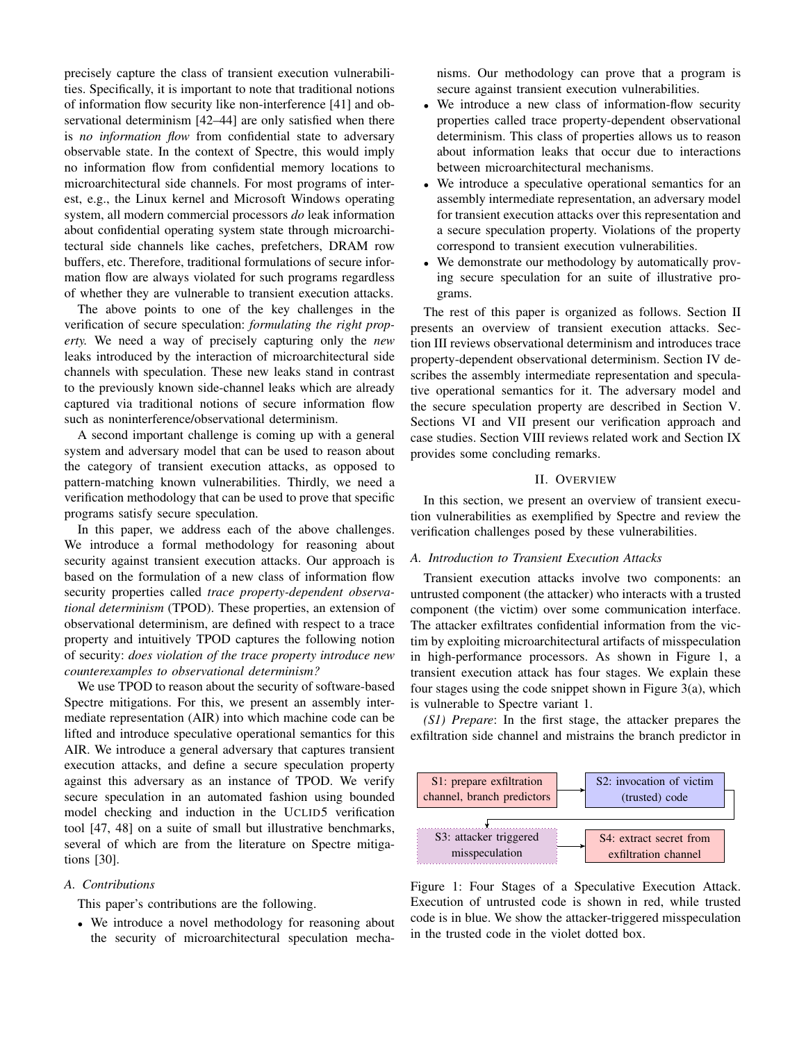precisely capture the class of transient execution vulnerabilities. Specifically, it is important to note that traditional notions of information flow security like non-interference [\[41\]](#page-15-17) and observational determinism [\[42–](#page-15-18)[44\]](#page-15-19) are only satisfied when there is *no information flow* from confidential state to adversary observable state. In the context of Spectre, this would imply no information flow from confidential memory locations to microarchitectural side channels. For most programs of interest, e.g., the Linux kernel and Microsoft Windows operating system, all modern commercial processors *do* leak information about confidential operating system state through microarchitectural side channels like caches, prefetchers, DRAM row buffers, etc. Therefore, traditional formulations of secure information flow are always violated for such programs regardless of whether they are vulnerable to transient execution attacks.

The above points to one of the key challenges in the verification of secure speculation: *formulating the right property.* We need a way of precisely capturing only the *new* leaks introduced by the interaction of microarchitectural side channels with speculation. These new leaks stand in contrast to the previously known side-channel leaks which are already captured via traditional notions of secure information flow such as noninterference/observational determinism.

A second important challenge is coming up with a general system and adversary model that can be used to reason about the category of transient execution attacks, as opposed to pattern-matching known vulnerabilities. Thirdly, we need a verification methodology that can be used to prove that specific programs satisfy secure speculation.

In this paper, we address each of the above challenges. We introduce a formal methodology for reasoning about security against transient execution attacks. Our approach is based on the formulation of a new class of information flow security properties called *trace property-dependent observational determinism* (TPOD). These properties, an extension of observational determinism, are defined with respect to a trace property and intuitively TPOD captures the following notion of security: *does violation of the trace property introduce new counterexamples to observational determinism?*

We use TPOD to reason about the security of software-based Spectre mitigations. For this, we present an assembly intermediate representation (AIR) into which machine code can be lifted and introduce speculative operational semantics for this AIR. We introduce a general adversary that captures transient execution attacks, and define a secure speculation property against this adversary as an instance of TPOD. We verify secure speculation in an automated fashion using bounded model checking and induction in the UCLID5 verification tool [\[47,](#page-15-20) [48\]](#page-15-21) on a suite of small but illustrative benchmarks, several of which are from the literature on Spectre mitigations [\[30\]](#page-15-6).

## *A. Contributions*

This paper's contributions are the following.

• We introduce a novel methodology for reasoning about the security of microarchitectural speculation mechanisms. Our methodology can prove that a program is secure against transient execution vulnerabilities.

- We introduce a new class of information-flow security properties called trace property-dependent observational determinism. This class of properties allows us to reason about information leaks that occur due to interactions between microarchitectural mechanisms.
- We introduce a speculative operational semantics for an assembly intermediate representation, an adversary model for transient execution attacks over this representation and a secure speculation property. Violations of the property correspond to transient execution vulnerabilities.
- We demonstrate our methodology by automatically proving secure speculation for an suite of illustrative programs.

The rest of this paper is organized as follows. Section [II](#page-1-0) presents an overview of transient execution attacks. Section [III](#page-3-0) reviews observational determinism and introduces trace property-dependent observational determinism. Section [IV](#page-6-0) describes the assembly intermediate representation and speculative operational semantics for it. The adversary model and the secure speculation property are described in Section [V.](#page-8-0) Sections [VI](#page-10-0) and [VII](#page-12-0) present our verification approach and case studies. Section [VIII](#page-12-1) reviews related work and Section [IX](#page-14-8) provides some concluding remarks.

# II. OVERVIEW

<span id="page-1-0"></span>In this section, we present an overview of transient execution vulnerabilities as exemplified by Spectre and review the verification challenges posed by these vulnerabilities.

### *A. Introduction to Transient Execution Attacks*

Transient execution attacks involve two components: an untrusted component (the attacker) who interacts with a trusted component (the victim) over some communication interface. The attacker exfiltrates confidential information from the victim by exploiting microarchitectural artifacts of misspeculation in high-performance processors. As shown in Figure [1,](#page-1-1) a transient execution attack has four stages. We explain these four stages using the code snippet shown in Figure [3\(](#page-3-1)a), which is vulnerable to Spectre variant 1.

*(S1) Prepare*: In the first stage, the attacker prepares the exfiltration side channel and mistrains the branch predictor in

<span id="page-1-1"></span>

Figure 1: Four Stages of a Speculative Execution Attack. Execution of untrusted code is shown in red, while trusted code is in blue. We show the attacker-triggered misspeculation in the trusted code in the violet dotted box.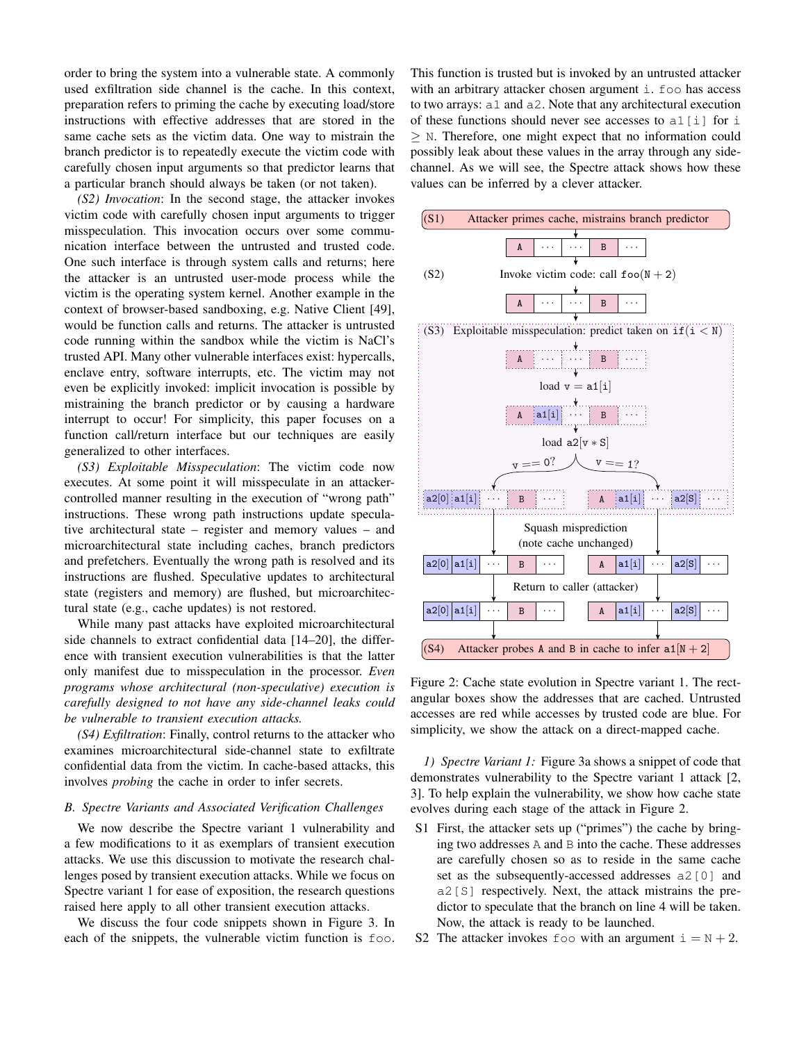order to bring the system into a vulnerable state. A commonly used exfiltration side channel is the cache. In this context, preparation refers to priming the cache by executing load/store instructions with effective addresses that are stored in the same cache sets as the victim data. One way to mistrain the branch predictor is to repeatedly execute the victim code with carefully chosen input arguments so that predictor learns that a particular branch should always be taken (or not taken).

*(S2) Invocation*: In the second stage, the attacker invokes victim code with carefully chosen input arguments to trigger misspeculation. This invocation occurs over some communication interface between the untrusted and trusted code. One such interface is through system calls and returns; here the attacker is an untrusted user-mode process while the victim is the operating system kernel. Another example in the context of browser-based sandboxing, e.g. Native Client [\[49\]](#page-15-22), would be function calls and returns. The attacker is untrusted code running within the sandbox while the victim is NaCl's trusted API. Many other vulnerable interfaces exist: hypercalls, enclave entry, software interrupts, etc. The victim may not even be explicitly invoked: implicit invocation is possible by mistraining the branch predictor or by causing a hardware interrupt to occur! For simplicity, this paper focuses on a function call/return interface but our techniques are easily generalized to other interfaces.

*(S3) Exploitable Misspeculation*: The victim code now executes. At some point it will misspeculate in an attackercontrolled manner resulting in the execution of "wrong path" instructions. These wrong path instructions update speculative architectural state – register and memory values – and microarchitectural state including caches, branch predictors and prefetchers. Eventually the wrong path is resolved and its instructions are flushed. Speculative updates to architectural state (registers and memory) are flushed, but microarchitectural state (e.g., cache updates) is not restored.

While many past attacks have exploited microarchitectural side channels to extract confidential data [\[14](#page-14-2)[–20\]](#page-14-3), the difference with transient execution vulnerabilities is that the latter only manifest due to misspeculation in the processor. *Even programs whose architectural (non-speculative) execution is carefully designed to not have any side-channel leaks could be vulnerable to transient execution attacks.*

*(S4) Exfiltration*: Finally, control returns to the attacker who examines microarchitectural side-channel state to exfiltrate confidential data from the victim. In cache-based attacks, this involves *probing* the cache in order to infer secrets.

## *B. Spectre Variants and Associated Verification Challenges*

We now describe the Spectre variant 1 vulnerability and a few modifications to it as exemplars of transient execution attacks. We use this discussion to motivate the research challenges posed by transient execution attacks. While we focus on Spectre variant 1 for ease of exposition, the research questions raised here apply to all other transient execution attacks.

We discuss the four code snippets shown in Figure [3.](#page-3-1) In each of the snippets, the vulnerable victim function is foo. This function is trusted but is invoked by an untrusted attacker with an arbitrary attacker chosen argument i. foo has access to two arrays: a1 and a2. Note that any architectural execution of these functions should never see accesses to  $a1[i]$  for i  $\geq$  N. Therefore, one might expect that no information could possibly leak about these values in the array through any sidechannel. As we will see, the Spectre attack shows how these values can be inferred by a clever attacker.

<span id="page-2-0"></span>

Figure 2: Cache state evolution in Spectre variant 1. The rectangular boxes show the addresses that are cached. Untrusted accesses are red while accesses by trusted code are blue. For simplicity, we show the attack on a direct-mapped cache.

*1) Spectre Variant 1:* Figure [3a](#page-3-1) shows a snippet of code that demonstrates vulnerability to the Spectre variant 1 attack [\[2,](#page-14-9) [3\]](#page-14-10). To help explain the vulnerability, we show how cache state evolves during each stage of the attack in Figure [2.](#page-2-0)

- S1 First, the attacker sets up ("primes") the cache by bringing two addresses A and B into the cache. These addresses are carefully chosen so as to reside in the same cache set as the subsequently-accessed addresses a2[0] and a2[S] respectively. Next, the attack mistrains the predictor to speculate that the branch on line 4 will be taken. Now, the attack is ready to be launched.
- S2 The attacker invokes foo with an argument  $i = N + 2$ .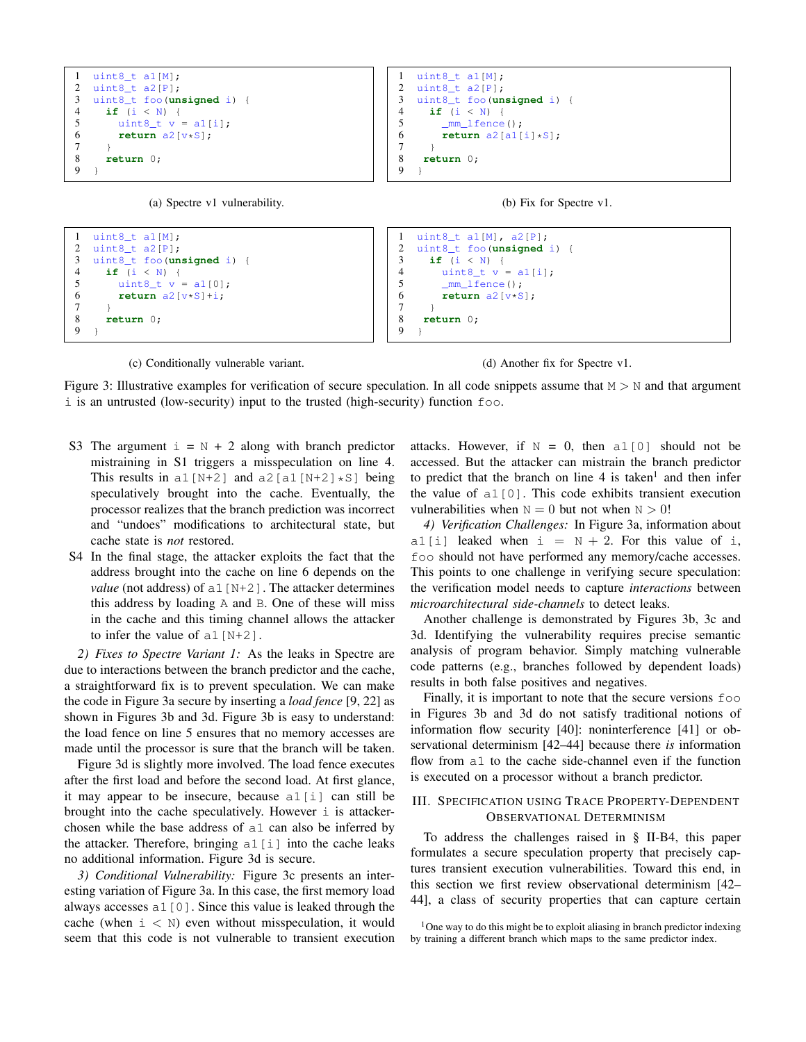<span id="page-3-1"></span>

```
2 uint8_t a2[P];<br>3 uint8_t foo(un
3 uint8_t foo(unsigned i) {
      4 if (i < N) {
5 uint8_t v = al[0];<br>6 return a2[v*S]+i;
         return a2[v*S]+i;7 }
8 return 0;
    9 }
                                                                    2 uint8_t foo(unsigned i)<br>3 if (i < N) {
                                                                    3 if (i < N) {
                                                                             uint8_t v = a1[i];
                                                                    5 mm_{\perp} fence ();<br>6 r return a2 [v*S
                                                                              6 return a2[v*S];
                                                                     7 }
                                                                    8 return 0;
                                                                    9 }
```
(c) Conditionally vulnerable variant.

(d) Another fix for Spectre v1.

Figure 3: Illustrative examples for verification of secure speculation. In all code snippets assume that  $M > N$  and that argument i is an untrusted (low-security) input to the trusted (high-security) function foo.

- S3 The argument  $i = N + 2$  along with branch predictor mistraining in S1 triggers a misspeculation on line 4. This results in a1 [N+2] and a2 [a1 [N+2]  $\star$ S] being speculatively brought into the cache. Eventually, the processor realizes that the branch prediction was incorrect and "undoes" modifications to architectural state, but cache state is *not* restored.
- S4 In the final stage, the attacker exploits the fact that the address brought into the cache on line 6 depends on the *value* (not address) of  $a1[N+2]$ . The attacker determines this address by loading A and B. One of these will miss in the cache and this timing channel allows the attacker to infer the value of  $a1[N+2]$ .

*2) Fixes to Spectre Variant 1:* As the leaks in Spectre are due to interactions between the branch predictor and the cache, a straightforward fix is to prevent speculation. We can make the code in Figure [3a](#page-3-1) secure by inserting a *load fence* [\[9,](#page-14-4) [22\]](#page-15-23) as shown in Figures [3b](#page-3-1) and [3d.](#page-3-1) Figure [3b](#page-3-1) is easy to understand: the load fence on line 5 ensures that no memory accesses are made until the processor is sure that the branch will be taken.

Figure [3d](#page-3-1) is slightly more involved. The load fence executes after the first load and before the second load. At first glance, it may appear to be insecure, because a1[i] can still be brought into the cache speculatively. However  $\pm$  is attackerchosen while the base address of a1 can also be inferred by the attacker. Therefore, bringing  $a1[i]$  into the cache leaks no additional information. Figure [3d](#page-3-1) is secure.

*3) Conditional Vulnerability:* Figure [3c](#page-3-1) presents an interesting variation of Figure [3a.](#page-3-1) In this case, the first memory load always accesses  $a1[0]$ . Since this value is leaked through the cache (when  $i \lt N$ ) even without misspeculation, it would seem that this code is not vulnerable to transient execution attacks. However, if  $N = 0$ , then all [0] should not be accessed. But the attacker can mistrain the branch predictor to predict that the branch on line  $4$  is taken<sup>[1](#page-3-2)</sup> and then infer the value of a1[0]. This code exhibits transient execution vulnerabilities when  $N = 0$  but not when  $N > 0!$ 

<span id="page-3-3"></span>*4) Verification Challenges:* In Figure [3a,](#page-3-1) information about a1[i] leaked when  $i = N + 2$ . For this value of i, foo should not have performed any memory/cache accesses. This points to one challenge in verifying secure speculation: the verification model needs to capture *interactions* between *microarchitectural side-channels* to detect leaks.

Another challenge is demonstrated by Figures [3b, 3c](#page-3-1) and [3d.](#page-3-1) Identifying the vulnerability requires precise semantic analysis of program behavior. Simply matching vulnerable code patterns (e.g., branches followed by dependent loads) results in both false positives and negatives.

Finally, it is important to note that the secure versions foo in Figures [3b](#page-3-1) and [3d](#page-3-1) do not satisfy traditional notions of information flow security [\[40\]](#page-15-15): noninterference [\[41\]](#page-15-17) or observational determinism [\[42–](#page-15-18)[44\]](#page-15-19) because there *is* information flow from a1 to the cache side-channel even if the function is executed on a processor without a branch predictor.

# <span id="page-3-0"></span>III. SPECIFICATION USING TRACE PROPERTY-DEPENDENT OBSERVATIONAL DETERMINISM

To address the challenges raised in § [II-B4,](#page-3-3) this paper formulates a secure speculation property that precisely captures transient execution vulnerabilities. Toward this end, in this section we first review observational determinism [\[42–](#page-15-18) [44\]](#page-15-19), a class of security properties that can capture certain

<span id="page-3-2"></span> $1$ One way to do this might be to exploit aliasing in branch predictor indexing by training a different branch which maps to the same predictor index.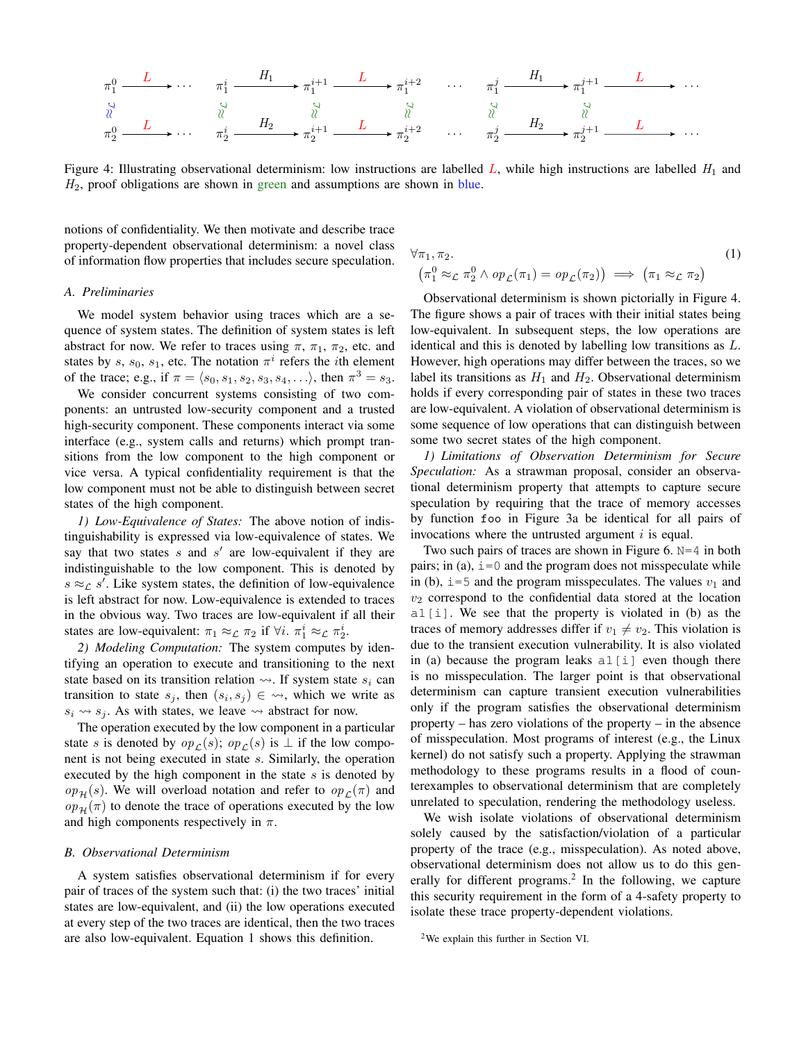<span id="page-4-1"></span>

Figure 4: Illustrating observational determinism: low instructions are labelled L, while high instructions are labelled  $H_1$  and  $H<sub>2</sub>$ , proof obligations are shown in green and assumptions are shown in blue.

notions of confidentiality. We then motivate and describe trace property-dependent observational determinism: a novel class of information flow properties that includes secure speculation.

## *A. Preliminaries*

We model system behavior using traces which are a sequence of system states. The definition of system states is left abstract for now. We refer to traces using  $\pi$ ,  $\pi_1$ ,  $\pi_2$ , etc. and states by s,  $s_0$ ,  $s_1$ , etc. The notation  $\pi^i$  refers the *i*th element of the trace; e.g., if  $\pi = \langle s_0, s_1, s_2, s_3, s_4, \ldots \rangle$ , then  $\pi^3 = s_3$ .

We consider concurrent systems consisting of two components: an untrusted low-security component and a trusted high-security component. These components interact via some interface (e.g., system calls and returns) which prompt transitions from the low component to the high component or vice versa. A typical confidentiality requirement is that the low component must not be able to distinguish between secret states of the high component.

*1) Low-Equivalence of States:* The above notion of indistinguishability is expressed via low-equivalence of states. We say that two states  $s$  and  $s'$  are low-equivalent if they are indistinguishable to the low component. This is denoted by  $s \approx_{\mathcal{L}} s'$ . Like system states, the definition of low-equivalence is left abstract for now. Low-equivalence is extended to traces in the obvious way. Two traces are low-equivalent if all their states are low-equivalent:  $\pi_1 \approx_{\mathcal{L}} \pi_2$  if  $\forall i$ .  $\pi_1^i \approx_{\mathcal{L}} \pi_2^i$ .

*2) Modeling Computation:* The system computes by identifying an operation to execute and transitioning to the next state based on its transition relation  $\rightsquigarrow$ . If system state  $s_i$  can transition to state  $s_j$ , then  $(s_i, s_j) \in \leadsto$ , which we write as  $s_i \leftrightarrow s_j$ . As with states, we leave  $\leadsto$  abstract for now.

The operation executed by the low component in a particular state s is denoted by  $op_{\mathcal{L}}(s)$ ;  $op_{\mathcal{L}}(s)$  is  $\perp$  if the low component is not being executed in state s. Similarly, the operation executed by the high component in the state  $s$  is denoted by  $op_{\mathcal{H}}(s)$ . We will overload notation and refer to  $op_{\mathcal{L}}(\pi)$  and  $op_{\mathcal{H}}(\pi)$  to denote the trace of operations executed by the low and high components respectively in  $\pi$ .

## *B. Observational Determinism*

A system satisfies observational determinism if for every pair of traces of the system such that: (i) the two traces' initial states are low-equivalent, and (ii) the low operations executed at every step of the two traces are identical, then the two traces are also low-equivalent. Equation [1](#page-4-0) shows this definition.

<span id="page-4-0"></span>
$$
\forall \pi_1, \pi_2.
$$
\n
$$
\left(\pi_1^0 \approx_{\mathcal{L}} \pi_2^0 \land op_{\mathcal{L}}(\pi_1) = op_{\mathcal{L}}(\pi_2)\right) \implies \left(\pi_1 \approx_{\mathcal{L}} \pi_2\right)
$$
\n
$$
(1)
$$

Observational determinism is shown pictorially in Figure [4.](#page-4-1) The figure shows a pair of traces with their initial states being low-equivalent. In subsequent steps, the low operations are identical and this is denoted by labelling low transitions as L. However, high operations may differ between the traces, so we label its transitions as  $H_1$  and  $H_2$ . Observational determinism holds if every corresponding pair of states in these two traces are low-equivalent. A violation of observational determinism is some sequence of low operations that can distinguish between some two secret states of the high component.

*1) Limitations of Observation Determinism for Secure Speculation:* As a strawman proposal, consider an observational determinism property that attempts to capture secure speculation by requiring that the trace of memory accesses by function foo in Figure [3a](#page-3-1) be identical for all pairs of invocations where the untrusted argument  $i$  is equal.

Two such pairs of traces are shown in Figure [6.](#page-5-0) N=4 in both pairs; in (a),  $i=0$  and the program does not misspeculate while in (b),  $i=5$  and the program misspeculates. The values  $v_1$  and  $v_2$  correspond to the confidential data stored at the location a1[i]. We see that the property is violated in (b) as the traces of memory addresses differ if  $v_1 \neq v_2$ . This violation is due to the transient execution vulnerability. It is also violated in (a) because the program leaks  $a1[i]$  even though there is no misspeculation. The larger point is that observational determinism can capture transient execution vulnerabilities only if the program satisfies the observational determinism property – has zero violations of the property – in the absence of misspeculation. Most programs of interest (e.g., the Linux kernel) do not satisfy such a property. Applying the strawman methodology to these programs results in a flood of counterexamples to observational determinism that are completely unrelated to speculation, rendering the methodology useless.

We wish isolate violations of observational determinism solely caused by the satisfaction/violation of a particular property of the trace (e.g., misspeculation). As noted above, observational determinism does not allow us to do this gen-erally for different programs.<sup>[2](#page-4-2)</sup> In the following, we capture this security requirement in the form of a 4-safety property to isolate these trace property-dependent violations.

<span id="page-4-2"></span><sup>2</sup>We explain this further in Section [VI.](#page-10-0)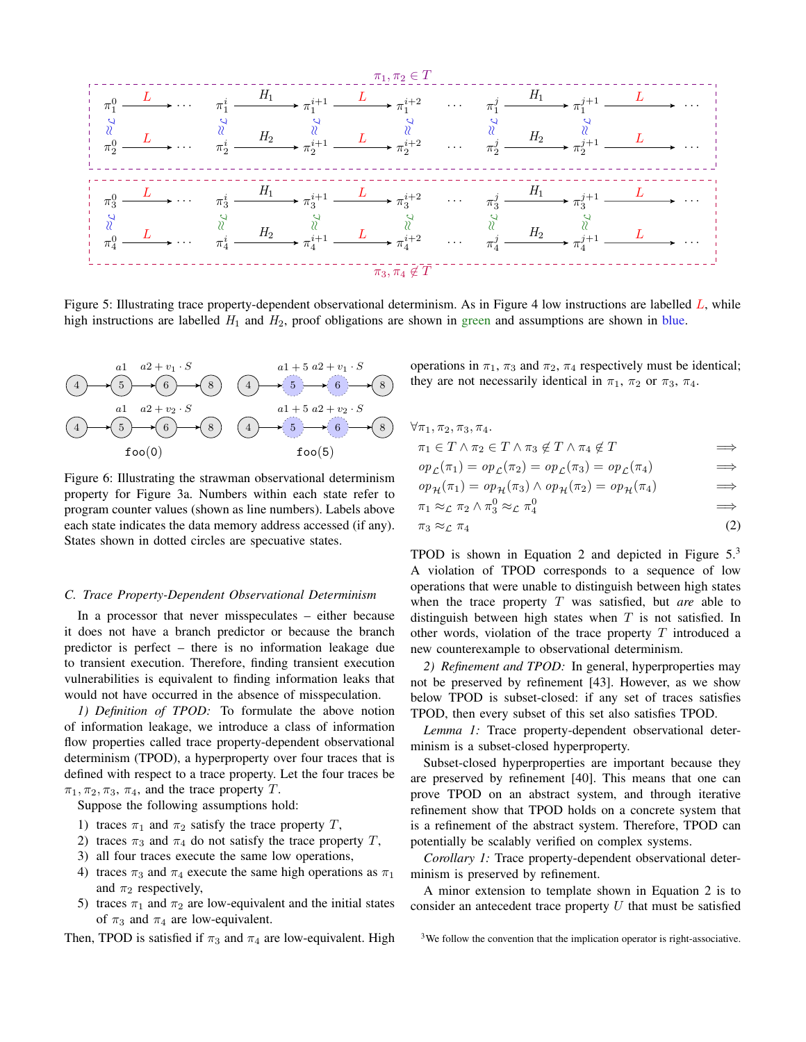<span id="page-5-2"></span>

Figure 5: Illustrating trace property-dependent observational determinism. As in Figure [4](#page-4-1) low instructions are labelled  $L$ , while high instructions are labelled  $H_1$  and  $H_2$ , proof obligations are shown in green and assumptions are shown in blue.

<span id="page-5-0"></span>
$$
(4)
$$
\n
$$
(5)
$$
\n
$$
(6)
$$
\n
$$
(8)
$$
\n
$$
(4)
$$
\n
$$
(5)
$$
\n
$$
(6)
$$
\n
$$
(8)
$$
\n
$$
(4)
$$
\n
$$
(5)
$$
\n
$$
(6)
$$
\n
$$
(8)
$$
\n
$$
(4)
$$
\n
$$
(5)
$$
\n
$$
(6)
$$
\n
$$
(8)
$$
\n
$$
(4)
$$
\n
$$
(5)
$$
\n
$$
(6)
$$
\n
$$
(6)
$$
\n
$$
(6)
$$
\n
$$
(6)
$$
\n
$$
(6)
$$
\n
$$
(6)
$$
\n
$$
(6)
$$
\n
$$
(6)
$$
\n
$$
(6)
$$
\n
$$
(6)
$$
\n
$$
(6)
$$
\n
$$
(6)
$$
\n
$$
(6)
$$
\n
$$
(6)
$$
\n
$$
(6)
$$
\n
$$
(6)
$$
\n
$$
(6)
$$
\n
$$
(6)
$$
\n
$$
(6)
$$
\n
$$
(6)
$$
\n
$$
(6)
$$
\n
$$
(6)
$$
\n
$$
(6)
$$
\n
$$
(6)
$$
\n
$$
(6)
$$
\n
$$
(6)
$$
\n
$$
(6)
$$
\n
$$
(6)
$$
\n
$$
(6)
$$
\n
$$
(6)
$$
\n
$$
(6)
$$
\n
$$
(6)
$$
\n
$$
(6)
$$
\n
$$
(6)
$$
\n
$$
(6)
$$
\n
$$
(6)
$$
\n
$$
(6)
$$
\n
$$
(6)
$$
\n
$$
(6)
$$
\n
$$
(6)
$$
\n
$$
(6)
$$
\n
$$
(6)
$$
\n
$$
(6)
$$
\n
$$
(6)
$$
\n
$$
(6)
$$
\n
$$
(6)
$$
\n
$$
(6)
$$
\n
$$
(6)
$$
\n
$$
(6)
$$
\n
$$
(6)
$$
\n
$$
(6)
$$
\n
$$
(
$$

Figure 6: Illustrating the strawman observational determinism property for Figure [3a.](#page-3-1) Numbers within each state refer to program counter values (shown as line numbers). Labels above each state indicates the data memory address accessed (if any). States shown in dotted circles are specuative states.

# *C. Trace Property-Dependent Observational Determinism*

In a processor that never misspeculates – either because it does not have a branch predictor or because the branch predictor is perfect – there is no information leakage due to transient execution. Therefore, finding transient execution vulnerabilities is equivalent to finding information leaks that would not have occurred in the absence of misspeculation.

*1) Definition of TPOD:* To formulate the above notion of information leakage, we introduce a class of information flow properties called trace property-dependent observational determinism (TPOD), a hyperproperty over four traces that is defined with respect to a trace property. Let the four traces be  $\pi_1, \pi_2, \pi_3, \pi_4$ , and the trace property T.

Suppose the following assumptions hold:

- 1) traces  $\pi_1$  and  $\pi_2$  satisfy the trace property T,
- 2) traces  $\pi_3$  and  $\pi_4$  do not satisfy the trace property T,
- 3) all four traces execute the same low operations,
- 4) traces  $\pi_3$  and  $\pi_4$  execute the same high operations as  $\pi_1$ and  $\pi_2$  respectively,
- 5) traces  $\pi_1$  and  $\pi_2$  are low-equivalent and the initial states of  $\pi_3$  and  $\pi_4$  are low-equivalent.

Then, TPOD is satisfied if  $\pi_3$  and  $\pi_4$  are low-equivalent. High

operations in  $\pi_1$ ,  $\pi_3$  and  $\pi_2$ ,  $\pi_4$  respectively must be identical; they are not necessarily identical in  $\pi_1$ ,  $\pi_2$  or  $\pi_3$ ,  $\pi_4$ .

| $\forall \pi_1, \pi_2, \pi_3, \pi_4.$                                                                        |            |
|--------------------------------------------------------------------------------------------------------------|------------|
| $\pi_1 \in T \wedge \pi_2 \in T \wedge \pi_3 \notin T \wedge \pi_4 \notin T$                                 | $\implies$ |
| $op_{\mathcal{L}}(\pi_1) = op_{\mathcal{L}}(\pi_2) = op_{\mathcal{L}}(\pi_3) = op_{\mathcal{L}}(\pi_4)$      | $\implies$ |
| $op_{\mathcal{H}}(\pi_1) = op_{\mathcal{H}}(\pi_3) \wedge op_{\mathcal{H}}(\pi_2) = op_{\mathcal{H}}(\pi_4)$ | $\implies$ |
| $\pi_1 \approx_{\mathcal{L}} \pi_2 \wedge \pi_3^0 \approx_{\mathcal{L}} \pi_4^0$                             | $\implies$ |
|                                                                                                              | (2)        |

<span id="page-5-1"></span> $\pi_3 \approx_{\mathcal{L}} \pi_4$  (2)

TPOD is shown in Equation [2](#page-5-1) and depicted in Figure [5.](#page-5-2)[3](#page-5-3) A violation of TPOD corresponds to a sequence of low operations that were unable to distinguish between high states when the trace property T was satisfied, but *are* able to distinguish between high states when  $T$  is not satisfied. In other words, violation of the trace property  $T$  introduced a new counterexample to observational determinism.

*2) Refinement and TPOD:* In general, hyperproperties may not be preserved by refinement [\[43\]](#page-15-24). However, as we show below TPOD is subset-closed: if any set of traces satisfies TPOD, then every subset of this set also satisfies TPOD.

*Lemma 1:* Trace property-dependent observational determinism is a subset-closed hyperproperty.

Subset-closed hyperproperties are important because they are preserved by refinement [\[40\]](#page-15-15). This means that one can prove TPOD on an abstract system, and through iterative refinement show that TPOD holds on a concrete system that is a refinement of the abstract system. Therefore, TPOD can potentially be scalably verified on complex systems.

*Corollary 1:* Trace property-dependent observational determinism is preserved by refinement.

A minor extension to template shown in Equation [2](#page-5-1) is to consider an antecedent trace property  $U$  that must be satisfied

<span id="page-5-3"></span><sup>&</sup>lt;sup>3</sup>We follow the convention that the implication operator is right-associative.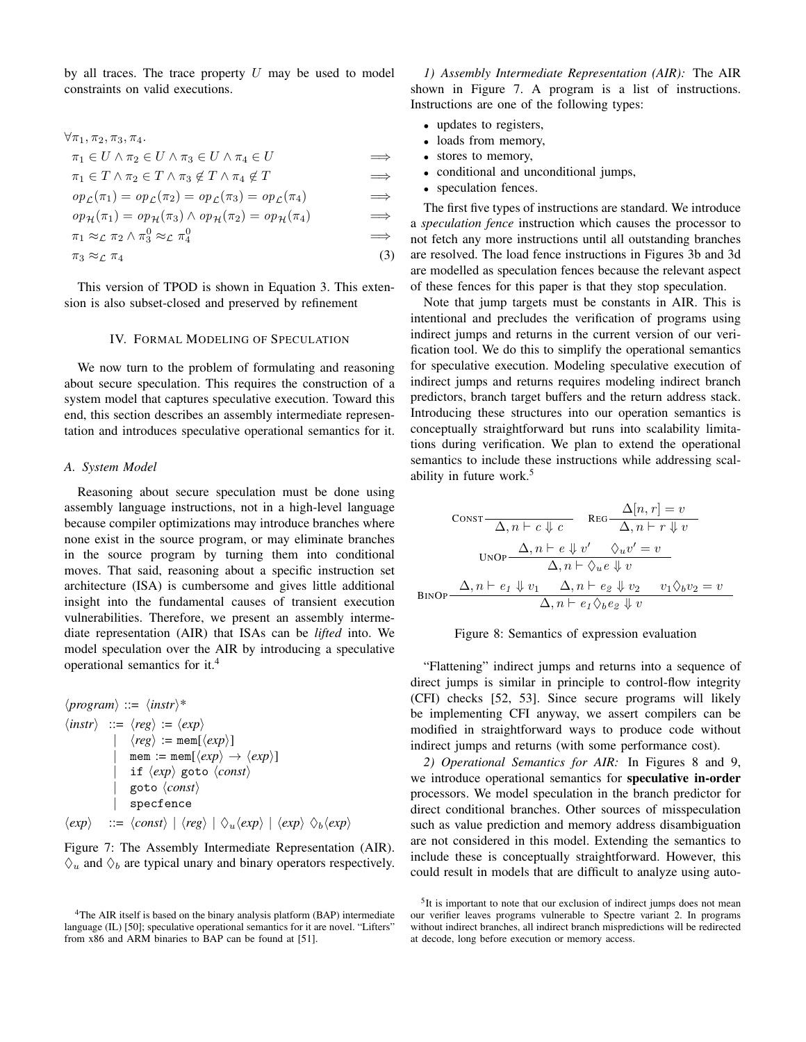by all traces. The trace property  $U$  may be used to model constraints on valid executions.

$$
\forall \pi_1, \pi_2, \pi_3, \pi_4.
$$
\n
$$
\pi_1 \in U \land \pi_2 \in U \land \pi_3 \in U \land \pi_4 \in U \implies
$$
\n
$$
\pi_1 \in T \land \pi_2 \in T \land \pi_3 \notin T \land \pi_4 \notin T \implies
$$
\n
$$
op_{\mathcal{L}}(\pi_1) = op_{\mathcal{L}}(\pi_2) = op_{\mathcal{L}}(\pi_3) = op_{\mathcal{L}}(\pi_4) \implies
$$
\n
$$
op_{\mathcal{H}}(\pi_1) = op_{\mathcal{H}}(\pi_3) \land op_{\mathcal{H}}(\pi_2) = op_{\mathcal{H}}(\pi_4) \implies
$$
\n
$$
\pi_1 \approx_{\mathcal{L}} \pi_2 \land \pi_3^0 \approx_{\mathcal{L}} \pi_4^0 \implies
$$

$$
\pi_3 \approx_{\mathcal{L}} \pi_4 \tag{3}
$$

This version of TPOD is shown in Equation [3.](#page-6-1) This extension is also subset-closed and preserved by refinement

#### IV. FORMAL MODELING OF SPECULATION

<span id="page-6-0"></span>We now turn to the problem of formulating and reasoning about secure speculation. This requires the construction of a system model that captures speculative execution. Toward this end, this section describes an assembly intermediate representation and introduces speculative operational semantics for it.

### *A. System Model*

Reasoning about secure speculation must be done using assembly language instructions, not in a high-level language because compiler optimizations may introduce branches where none exist in the source program, or may eliminate branches in the source program by turning them into conditional moves. That said, reasoning about a specific instruction set architecture (ISA) is cumbersome and gives little additional insight into the fundamental causes of transient execution vulnerabilities. Therefore, we present an assembly intermediate representation (AIR) that ISAs can be *lifted* into. We model speculation over the AIR by introducing a speculative operational semantics for it.[4](#page-6-2)

<span id="page-6-3"></span>
$$
\langle program \rangle ::= \langle instr \rangle^*
$$
\n
$$
\langle instr \rangle ::= \langle reg \rangle := \langle exp \rangle
$$
\n
$$
|\langle reg \rangle := \text{mem}[\langle exp \rangle]
$$
\n
$$
\mid \text{mem} := \text{mem}[\langle exp \rangle \to \langle exp \rangle]
$$
\n
$$
\mid \text{if} \langle exp \rangle \text{ go to } \langle const \rangle
$$
\n
$$
|\text{ go to} \langle const \rangle
$$
\n
$$
\mid \text{specfence}
$$
\n
$$
\langle exp \rangle ::= \langle const \rangle | \langle reg \rangle | \langle u \langle exp \rangle | \langle exp \rangle \langle b \langle exp \rangle
$$

Figure 7: The Assembly Intermediate Representation (AIR).  $\Diamond_u$  and  $\Diamond_b$  are typical unary and binary operators respectively.

*1) Assembly Intermediate Representation (AIR):* The AIR shown in Figure [7.](#page-6-3) A program is a list of instructions. Instructions are one of the following types:

- updates to registers,
- loads from memory,
- stores to memory,
- conditional and unconditional jumps,
- speculation fences.

<span id="page-6-1"></span>The first five types of instructions are standard. We introduce a *speculation fence* instruction which causes the processor to not fetch any more instructions until all outstanding branches are resolved. The load fence instructions in Figures [3b](#page-3-1) and [3d](#page-3-1) are modelled as speculation fences because the relevant aspect of these fences for this paper is that they stop speculation.

Note that jump targets must be constants in AIR. This is intentional and precludes the verification of programs using indirect jumps and returns in the current version of our verification tool. We do this to simplify the operational semantics for speculative execution. Modeling speculative execution of indirect jumps and returns requires modeling indirect branch predictors, branch target buffers and the return address stack. Introducing these structures into our operation semantics is conceptually straightforward but runs into scalability limitations during verification. We plan to extend the operational semantics to include these instructions while addressing scal-ability in future work.<sup>[5](#page-6-4)</sup>

<span id="page-6-5"></span>
$$
\text{CONST} \frac{\Delta[n, r] = v}{\Delta, n \vdash c \Downarrow c} \quad \text{Reg} \frac{\Delta[n, r] = v}{\Delta, n \vdash r \Downarrow v}
$$
\n
$$
\text{UNOP} \frac{\Delta, n \vdash e \Downarrow v' \quad \Diamond_u v' = v}{\Delta, n \vdash \Diamond_u e \Downarrow v}
$$
\n
$$
\text{BINDP} \frac{\Delta, n \vdash e_1 \Downarrow v_1 \quad \Delta, n \vdash e_2 \Downarrow v_2 \quad v_1 \Diamond_b v_2 = v}{\Delta, n \vdash e_1 \Diamond_b e_2 \Downarrow v}
$$



"Flattening" indirect jumps and returns into a sequence of direct jumps is similar in principle to control-flow integrity (CFI) checks [\[52,](#page-15-27) [53\]](#page-15-28). Since secure programs will likely be implementing CFI anyway, we assert compilers can be modified in straightforward ways to produce code without indirect jumps and returns (with some performance cost).

*2) Operational Semantics for AIR:* In Figures [8](#page-6-5) and [9,](#page-7-0) we introduce operational semantics for speculative in-order processors. We model speculation in the branch predictor for direct conditional branches. Other sources of misspeculation such as value prediction and memory address disambiguation are not considered in this model. Extending the semantics to include these is conceptually straightforward. However, this could result in models that are difficult to analyze using auto-

<span id="page-6-2"></span><sup>&</sup>lt;sup>4</sup>The AIR itself is based on the binary analysis platform (BAP) intermediate language (IL) [\[50\]](#page-15-25); speculative operational semantics for it are novel. "Lifters" from x86 and ARM binaries to BAP can be found at [\[51\]](#page-15-26).

<span id="page-6-4"></span><sup>&</sup>lt;sup>5</sup>It is important to note that our exclusion of indirect jumps does not mean our verifier leaves programs vulnerable to Spectre variant 2. In programs without indirect branches, all indirect branch mispredictions will be redirected at decode, long before execution or memory access.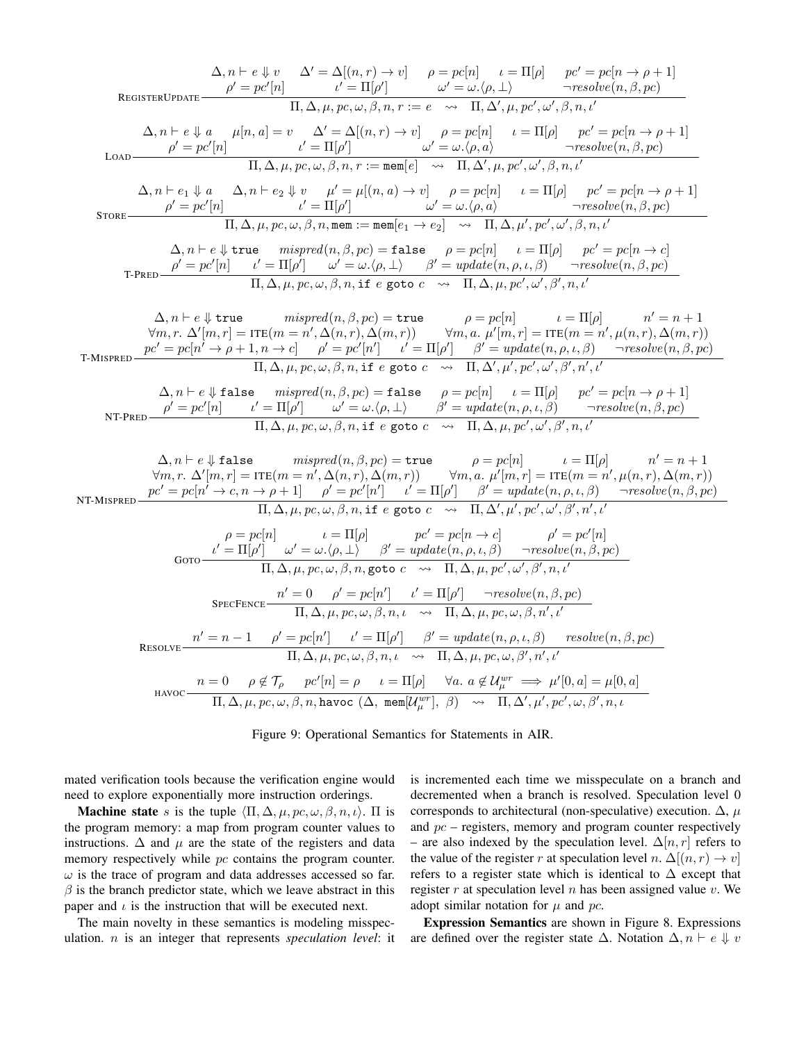<span id="page-7-0"></span>
$$
\Delta, n \vdash e \Downarrow v
$$
\n
$$
\Delta' = \Delta[(n, r) \rightarrow v] \rho = pc[n] \quad i = \Pi[\rho] \quad pc' = pc[n \rightarrow \rho + 1]
$$
\n
$$
\rho' = pc'[n] \quad \text{or} \quad \Pi, \Delta, \mu, pc, \omega, \beta, n, r := e \rightarrow \Pi, \Delta', \mu, pc', \omega', \beta, n, t'
$$
\n
$$
\Delta, n \vdash e \Downarrow a \quad \mu[n, a] = v \quad \Delta' = \Delta[(n, r) \rightarrow v] \quad \rho = pc[n] \quad \iota = \Pi[\rho] \quad pc' = pc[n \rightarrow \rho + 1]
$$
\n
$$
\text{LOAD} \frac{\rho' = pc'[n]}{\Pi, \Delta, \mu, pc, \omega, \beta, n, r := \text{mem}[e]} \rightarrow \frac{\Delta' = \Delta[(n, r) \rightarrow v] \quad \rho = pc[n] \quad \iota = \Pi[\rho] \quad pc' = pc[n \rightarrow \rho + 1]
$$
\n
$$
\text{LOAD} \frac{\rho' = pc'[n]}{\Pi, \Delta, \mu, pc, \omega, \beta, n, r := \text{mem}[e]} \rightarrow \frac{\Delta' = \Delta[(n, a) \rightarrow v] \quad \rho = pc[n] \quad \iota = \Pi[\rho] \quad pc' = pc[n \rightarrow \rho + 1]
$$
\n
$$
\text{SORE} \frac{\rho' = pc'[n]}{\Pi, \Delta, \mu, pc, \omega, \beta, n, n, \text{mem} := \text{mem}[e_1 \rightarrow e_2] \rightarrow \Pi, \Delta, \mu', pc', \omega', \beta, n, t']}{\Pi, \Delta, \mu, pc, \omega, \beta, n, n, \text{mem} := \text{mem}[e_1 \rightarrow e_2] \rightarrow \Pi, \Delta, \mu', pc', \omega', \beta, n, t'}
$$
\n
$$
\Delta, n \vdash e \Downarrow \text{true} \quad \text{mispred}(n, \beta, pc) = \text{false} \quad \rho = pc[n] \quad \iota = \text{II}[\rho] \quad pc' = pc[n \rightarrow \rho + 1]
$$
\n
$$
\text{TPRSE} \frac{\Delta}{\rho'} = pc'[n] \quad \iota' = \text{II}[\rho'] \quad \omega' = \omega, \langle \rho, \Delta) \quad \iota = \text{II}[\rho] \quad \text{per}(e_2 \rightarrow \rho, \mu) \quad
$$

Figure 9: Operational Semantics for Statements in AIR.

mated verification tools because the verification engine would need to explore exponentially more instruction orderings.

**Machine state** s is the tuple  $\langle \Pi, \Delta, \mu, pc, \omega, \beta, n, \iota \rangle$ .  $\Pi$  is the program memory: a map from program counter values to instructions.  $\Delta$  and  $\mu$  are the state of the registers and data memory respectively while  $pc$  contains the program counter.  $\omega$  is the trace of program and data addresses accessed so far.  $\beta$  is the branch predictor state, which we leave abstract in this paper and  $\iota$  is the instruction that will be executed next.

The main novelty in these semantics is modeling misspeculation. n is an integer that represents *speculation level*: it is incremented each time we misspeculate on a branch and decremented when a branch is resolved. Speculation level 0 corresponds to architectural (non-speculative) execution.  $\Delta$ ,  $\mu$ and  $pc$  – registers, memory and program counter respectively – are also indexed by the speculation level.  $\Delta[n, r]$  refers to the value of the register r at speculation level n.  $\Delta[(n, r) \rightarrow v]$ refers to a register state which is identical to  $\Delta$  except that register  $r$  at speculation level  $n$  has been assigned value  $v$ . We adopt similar notation for  $\mu$  and pc.

Expression Semantics are shown in Figure [8.](#page-6-5) Expressions are defined over the register state  $\Delta$ . Notation  $\Delta$ ,  $n \vdash e \Downarrow v$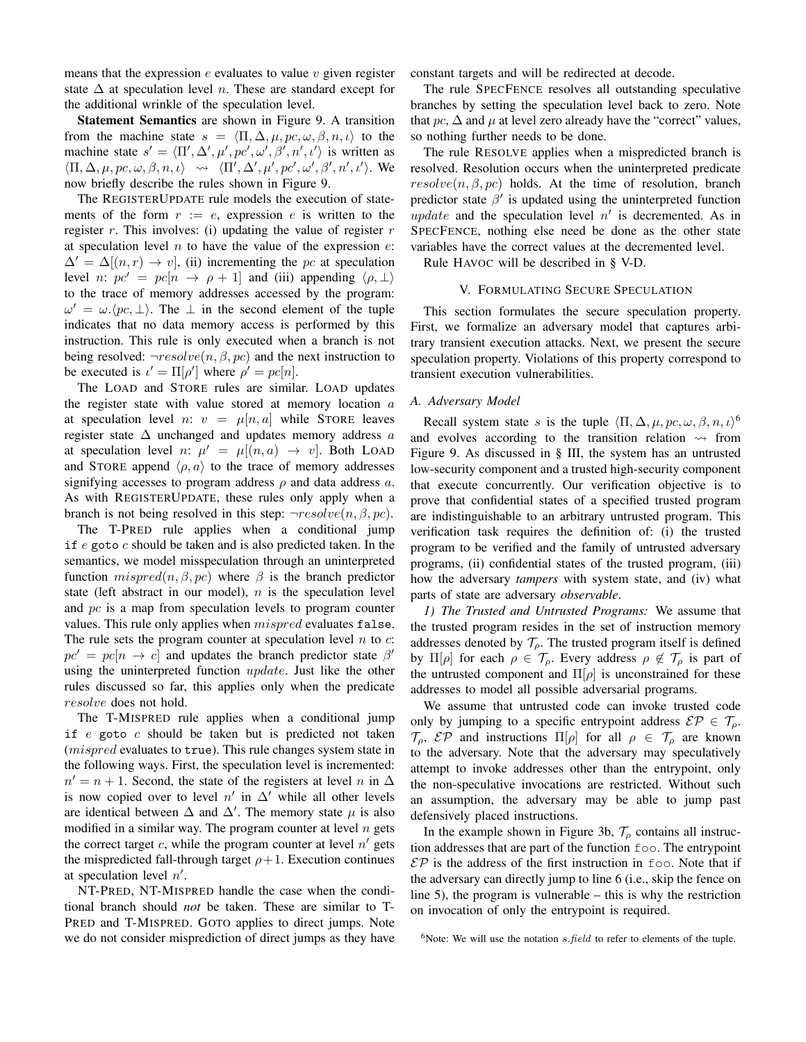means that the expression  $e$  evaluates to value  $v$  given register state  $\Delta$  at speculation level *n*. These are standard except for the additional wrinkle of the speculation level.

Statement Semantics are shown in Figure [9.](#page-7-0) A transition from the machine state  $s = \langle \Pi, \Delta, \mu, pc, \omega, \beta, n, \iota \rangle$  to the machine state  $s' = \langle \Pi', \Delta', \mu', pc', \omega', \beta', n', \iota' \rangle$  is written as  $\langle \Pi, \Delta, \mu, pc, \omega, \beta, n, \iota \rangle \rightsquigarrow \langle \Pi', \Delta', \mu', pc', \omega', \beta', n', \iota' \rangle$ . We now briefly describe the rules shown in Figure [9.](#page-7-0)

The REGISTERUPDATE rule models the execution of statements of the form  $r := e$ , expression e is written to the register  $r$ . This involves: (i) updating the value of register  $r$ at speculation level  $n$  to have the value of the expression  $e$ :  $\Delta' = \Delta[(n, r) \rightarrow v]$ , (ii) incrementing the pc at speculation level n:  $pc' = pc[n \rightarrow \rho + 1]$  and (iii) appending  $\langle \rho, \perp \rangle$ to the trace of memory addresses accessed by the program:  $\omega' = \omega \cdot \langle pc, \perp \rangle$ . The  $\perp$  in the second element of the tuple indicates that no data memory access is performed by this instruction. This rule is only executed when a branch is not being resolved:  $\neg resolved(n, \beta, pc)$  and the next instruction to be executed is  $\iota' = \Pi[\rho']$  where  $\rho' = pc[n]$ .

The LOAD and STORE rules are similar. LOAD updates the register state with value stored at memory location  $a$ at speculation level n:  $v = \mu[n, a]$  while STORE leaves register state  $\Delta$  unchanged and updates memory address  $a$ at speculation level n:  $\mu' = \mu[(n, a) \rightarrow v]$ . Both LOAD and STORE append  $\langle \rho, a \rangle$  to the trace of memory addresses signifying accesses to program address  $\rho$  and data address  $a$ . As with REGISTERUPDATE, these rules only apply when a branch is not being resolved in this step:  $\neg resolve(n, \beta, pc)$ .

The T-PRED rule applies when a conditional jump if  $e$  goto  $c$  should be taken and is also predicted taken. In the semantics, we model misspeculation through an uninterpreted function  $mispred(n, \beta, pc)$  where  $\beta$  is the branch predictor state (left abstract in our model),  $n$  is the speculation level and pc is a map from speculation levels to program counter values. This rule only applies when *mispred* evaluates false. The rule sets the program counter at speculation level  $n$  to  $c$ :  $pc' = pc[n \rightarrow c]$  and updates the branch predictor state  $\beta'$ using the uninterpreted function update. Just like the other rules discussed so far, this applies only when the predicate resolve does not hold.

The T-MISPRED rule applies when a conditional jump if  $e$  goto  $c$  should be taken but is predicted not taken (*mispred* evaluates to true). This rule changes system state in the following ways. First, the speculation level is incremented:  $n' = n + 1$ . Second, the state of the registers at level n in  $\Delta$ is now copied over to level  $n'$  in  $\Delta'$  while all other levels are identical between  $\Delta$  and  $\Delta'$ . The memory state  $\mu$  is also modified in a similar way. The program counter at level  $n$  gets the correct target  $c$ , while the program counter at level  $n'$  gets the mispredicted fall-through target  $\rho+1$ . Execution continues at speculation level  $n'$ .

NT-PRED, NT-MISPRED handle the case when the conditional branch should *not* be taken. These are similar to T-PRED and T-MISPRED. GOTO applies to direct jumps. Note we do not consider misprediction of direct jumps as they have constant targets and will be redirected at decode.

The rule SPECFENCE resolves all outstanding speculative branches by setting the speculation level back to zero. Note that pc,  $\Delta$  and  $\mu$  at level zero already have the "correct" values, so nothing further needs to be done.

The rule RESOLVE applies when a mispredicted branch is resolved. Resolution occurs when the uninterpreted predicate  $resolve(n, \beta, pc)$  holds. At the time of resolution, branch predictor state  $\beta'$  is updated using the uninterpreted function update and the speculation level  $n'$  is decremented. As in SPECFENCE, nothing else need be done as the other state variables have the correct values at the decremented level.

<span id="page-8-0"></span>Rule HAVOC will be described in § [V-D.](#page-10-1)

# V. FORMULATING SECURE SPECULATION

This section formulates the secure speculation property. First, we formalize an adversary model that captures arbitrary transient execution attacks. Next, we present the secure speculation property. Violations of this property correspond to transient execution vulnerabilities.

### *A. Adversary Model*

Recall system state s is the tuple  $\langle \Pi, \Delta, \mu, pc, \omega, \beta, n, \iota \rangle^6$  $\langle \Pi, \Delta, \mu, pc, \omega, \beta, n, \iota \rangle^6$ and evolves according to the transition relation  $\rightsquigarrow$  from Figure [9.](#page-7-0) As discussed in § [III,](#page-3-0) the system has an untrusted low-security component and a trusted high-security component that execute concurrently. Our verification objective is to prove that confidential states of a specified trusted program are indistinguishable to an arbitrary untrusted program. This verification task requires the definition of: (i) the trusted program to be verified and the family of untrusted adversary programs, (ii) confidential states of the trusted program, (iii) how the adversary *tampers* with system state, and (iv) what parts of state are adversary *observable*.

*1) The Trusted and Untrusted Programs:* We assume that the trusted program resides in the set of instruction memory addresses denoted by  $\mathcal{T}_{\rho}$ . The trusted program itself is defined by  $\Pi[\rho]$  for each  $\rho \in \mathcal{T}_{\rho}$ . Every address  $\rho \notin \mathcal{T}_{\rho}$  is part of the untrusted component and  $\Pi[\rho]$  is unconstrained for these addresses to model all possible adversarial programs.

We assume that untrusted code can invoke trusted code only by jumping to a specific entrypoint address  $\mathcal{E} \mathcal{P} \in \mathcal{T}_{\rho}$ .  $\mathcal{T}_{\rho}$ ,  $\mathcal{E} \mathcal{P}$  and instructions  $\Pi[\rho]$  for all  $\rho \in \mathcal{T}_{\rho}$  are known to the adversary. Note that the adversary may speculatively attempt to invoke addresses other than the entrypoint, only the non-speculative invocations are restricted. Without such an assumption, the adversary may be able to jump past defensively placed instructions.

In the example shown in Figure [3b,](#page-3-1)  $\mathcal{T}_{\rho}$  contains all instruction addresses that are part of the function foo. The entrypoint  $\mathcal{E} \mathcal{P}$  is the address of the first instruction in foo. Note that if the adversary can directly jump to line 6 (i.e., skip the fence on line 5), the program is vulnerable – this is why the restriction on invocation of only the entrypoint is required.

<span id="page-8-1"></span><sup>&</sup>lt;sup>6</sup>Note: We will use the notation  $s$ . *field* to refer to elements of the tuple.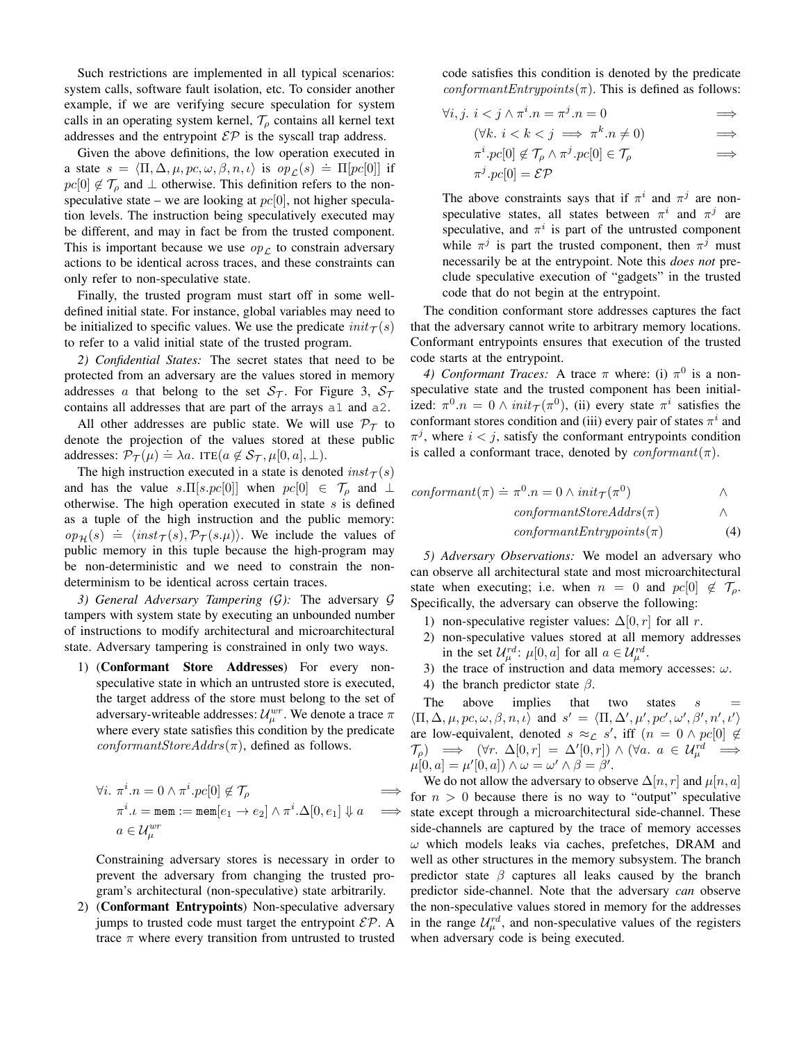Such restrictions are implemented in all typical scenarios: system calls, software fault isolation, etc. To consider another example, if we are verifying secure speculation for system calls in an operating system kernel,  $\mathcal{T}_{\rho}$  contains all kernel text addresses and the entrypoint  $\mathcal{EP}$  is the syscall trap address.

Given the above definitions, the low operation executed in a state  $s = \langle \Pi, \Delta, \mu, pc, \omega, \beta, n, \iota \rangle$  is  $op_{\mathcal{L}}(s) = \Pi[pc[0]]$  if  $pc[0] \notin \mathcal{T}_o$  and  $\perp$  otherwise. This definition refers to the nonspeculative state – we are looking at  $pc[0]$ , not higher speculation levels. The instruction being speculatively executed may be different, and may in fact be from the trusted component. This is important because we use  $op<sub>L</sub>$  to constrain adversary actions to be identical across traces, and these constraints can only refer to non-speculative state.

Finally, the trusted program must start off in some welldefined initial state. For instance, global variables may need to be initialized to specific values. We use the predicate  $init_\mathcal{T}(s)$ to refer to a valid initial state of the trusted program.

*2) Confidential States:* The secret states that need to be protected from an adversary are the values stored in memory addresses a that belong to the set  $S_{\mathcal{T}}$ . For Figure [3,](#page-3-1)  $S_{\mathcal{T}}$ contains all addresses that are part of the arrays a1 and a2.

All other addresses are public state. We will use  $\mathcal{P}_{\tau}$  to denote the projection of the values stored at these public addresses:  $\mathcal{P}_{\mathcal{T}}(\mu) \doteq \lambda a$ . ITE( $a \notin \mathcal{S}_{\mathcal{T}}$ ,  $\mu[0, a]$ ,  $\perp$ ).

The high instruction executed in a state is denoted  $inst<sub>T</sub>(s)$ and has the value s.  $\Pi[s, pc[0]]$  when  $pc[0] \in \mathcal{T}_{\rho}$  and  $\perp$ otherwise. The high operation executed in state  $s$  is defined as a tuple of the high instruction and the public memory:  $\omega_p(\mathbf{s}) \doteq \langle \text{inst}_\mathcal{T}(\mathbf{s}), \mathcal{P}_\mathcal{T}(\mathbf{s}, \mu) \rangle$ . We include the values of public memory in this tuple because the high-program may be non-deterministic and we need to constrain the nondeterminism to be identical across certain traces.

<span id="page-9-1"></span>*3) General Adversary Tampering (*G*):* The adversary G tampers with system state by executing an unbounded number of instructions to modify architectural and microarchitectural state. Adversary tampering is constrained in only two ways.

1) (Conformant Store Addresses) For every nonspeculative state in which an untrusted store is executed, the target address of the store must belong to the set of adversary-writeable addresses:  $\mathcal{U}^{wr}_\mu$ . We denote a trace  $\pi$ where every state satisfies this condition by the predicate  $conformantStoreAddress(\pi)$ , defined as follows.

$$
\forall i. \ \pi^i . n = 0 \land \pi^i . pc[0] \notin \mathcal{T}_\rho \implies
$$
  
\n
$$
\pi^i . \iota = \text{mem} := \text{mem}[e_1 \to e_2] \land \pi^i . \Delta[0, e_1] \Downarrow a \implies
$$
  
\n
$$
a \in \mathcal{U}^{wr}_{\mu}
$$

Constraining adversary stores is necessary in order to prevent the adversary from changing the trusted program's architectural (non-speculative) state arbitrarily.

2) (Conformant Entrypoints) Non-speculative adversary jumps to trusted code must target the entrypoint  $\mathcal{E} \mathcal{P}$ . A trace  $\pi$  where every transition from untrusted to trusted code satisfies this condition is denoted by the predicate  $conformantEntrypoints(\pi)$ . This is defined as follows:

$$
\forall i, j. \ i < j \land \pi^{i}.n = \pi^{j}.n = 0 \implies
$$
  

$$
(\forall k. \ i < k < j \implies \pi^{k}.n \neq 0) \implies
$$
  

$$
\pi^{i}.n \circ [0] \not\subset T \land \pi^{j}.n \circ [0] \in T \implies
$$

$$
\pi^i \cdot pc[0] \notin \mathcal{T}_{\rho} \wedge \pi^j \cdot pc[0] \in \mathcal{T}_{\rho} \qquad \Longrightarrow
$$
  

$$
\pi^j \cdot pc[0] = \mathcal{E} \mathcal{P}
$$

The above constraints says that if  $\pi^i$  and  $\pi^j$  are nonspeculative states, all states between  $\pi^{i}$  and  $\pi^{j}$  are speculative, and  $\pi^i$  is part of the untrusted component while  $\pi^{j}$  is part the trusted component, then  $\pi^{j}$  must necessarily be at the entrypoint. Note this *does not* preclude speculative execution of "gadgets" in the trusted code that do not begin at the entrypoint.

The condition conformant store addresses captures the fact that the adversary cannot write to arbitrary memory locations. Conformant entrypoints ensures that execution of the trusted code starts at the entrypoint.

4) Conformant Traces: A trace  $\pi$  where: (i)  $\pi^0$  is a nonspeculative state and the trusted component has been initialized:  $\pi^0 \cdot n = 0 \wedge init_{\mathcal{T}}(\pi^0)$ , (ii) every state  $\pi^i$  satisfies the conformant stores condition and (iii) every pair of states  $\pi^{i}$  and  $\pi^{j}$ , where  $i < j$ , satisfy the conformant entrypoints condition is called a conformant trace, denoted by  $conformant(\pi)$ .

$$
conformant(\pi) \doteq \pi^{0}.n = 0 \land init_{\mathcal{T}}(\pi^{0}) \qquad \land
$$

$$
conformantStoreAddress(\pi) \qquad \land
$$

<span id="page-9-0"></span>
$$
conformant Entry points(\pi) \tag{4}
$$

*5) Adversary Observations:* We model an adversary who can observe all architectural state and most microarchitectural state when executing; i.e. when  $n = 0$  and  $pc[0] \notin \mathcal{T}_{\rho}$ . Specifically, the adversary can observe the following:

- 1) non-speculative register values:  $\Delta[0, r]$  for all r.
- 2) non-speculative values stored at all memory addresses in the set  $\mathcal{U}_{\mu}^{rd}$ :  $\mu[0, a]$  for all  $a \in \mathcal{U}_{\mu}^{rd}$ .
- 3) the trace of instruction and data memory accesses:  $\omega$ .
- 4) the branch predictor state  $\beta$ .

The above implies that two states  $s$  $\langle \Pi, \Delta, \mu, pc, \omega, \beta, n, \iota \rangle$  and  $s' = \langle \Pi, \Delta', \mu', pc', \omega', \beta', n', \iota' \rangle$ are low-equivalent, denoted  $s \approx_{\mathcal{L}} s'$ , iff  $(n = 0 \land pc[0] \notin$  $\mathcal{T}_{\rho}$   $\implies$   $(\forall r. \ \Delta[0,r] = \Delta'[0,r]) \wedge (\forall a. \ a \in \mathcal{U}_{\mu}^{rd} \implies$  $\mu[0, a] = \mu'[0, a]) \wedge \omega = \omega' \wedge \beta = \beta'.$ 

We do not allow the adversary to observe  $\Delta[n,r]$  and  $\mu[n,a]$ for  $n > 0$  because there is no way to "output" speculative state except through a microarchitectural side-channel. These side-channels are captured by the trace of memory accesses  $\omega$  which models leaks via caches, prefetches, DRAM and well as other structures in the memory subsystem. The branch predictor state  $\beta$  captures all leaks caused by the branch predictor side-channel. Note that the adversary *can* observe the non-speculative values stored in memory for the addresses in the range  $\mathcal{U}_{\mu}^{rd}$ , and non-speculative values of the registers when adversary code is being executed.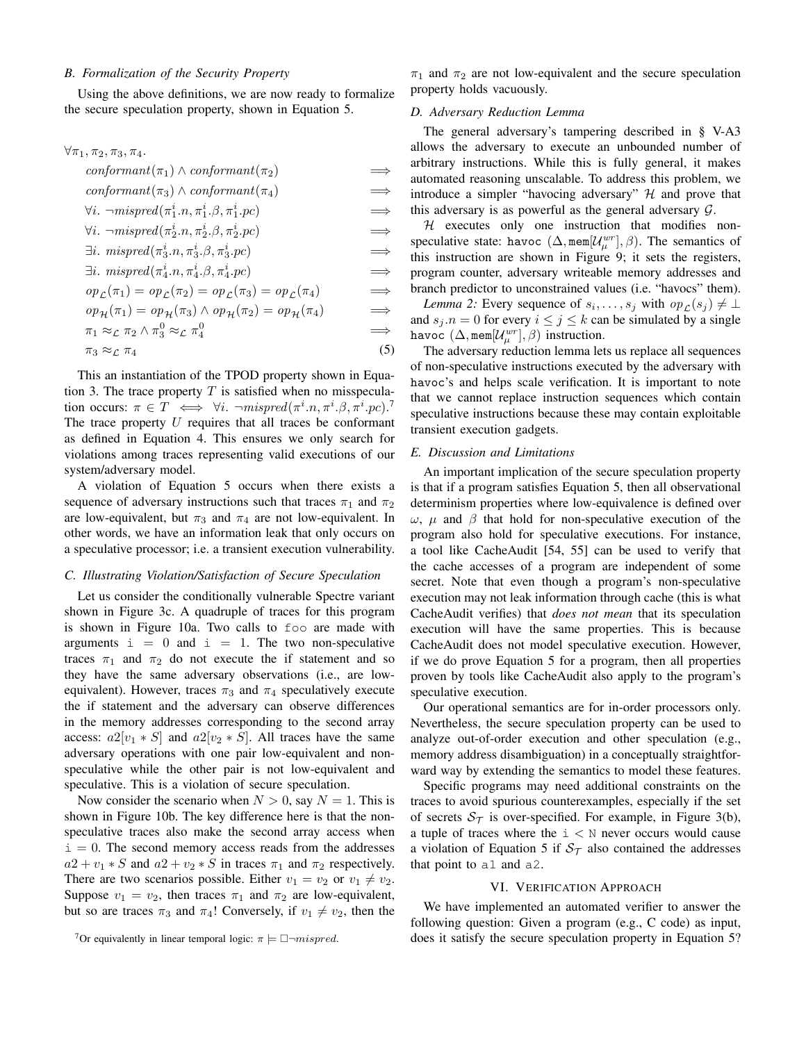# *B. Formalization of the Security Property*

Using the above definitions, we are now ready to formalize the secure speculation property, shown in Equation [5.](#page-10-2)

 $\forall \pi_1, \pi_2, \pi_3, \pi_4.$ 

| $conformant(\pi_1) \wedge conformant(\pi_2)$                                                                 | $\implies$ |
|--------------------------------------------------------------------------------------------------------------|------------|
| $conformant(\pi_3) \wedge conformant(\pi_4)$                                                                 | $\implies$ |
| $\forall i. \ \neg mispred(\pi_1^i.n, \pi_1^i.\beta, \pi_1^i.pc)$                                            | $\implies$ |
| $\forall i. \ \neg mispred(\pi_2^i.n, \pi_2^i.\beta, \pi_2^i.pc)$                                            | $\implies$ |
| $\exists i. \, \, \text{mispred}(\pi_3^i \ldots, \pi_3^i \ldotp \beta, \pi_3^i \ldotp \text{pc})$            | $\implies$ |
| $\exists i. \, \, \textit{mispred}(\pi_4^i \ldots \pi_4^i \ldotp \beta, \pi_4^i \ldotp \textit{pc})$         | $\implies$ |
| $op_{\mathcal{L}}(\pi_1) = op_{\mathcal{L}}(\pi_2) = op_{\mathcal{L}}(\pi_3) = op_{\mathcal{L}}(\pi_4)$      | $\implies$ |
| $op_{\mathcal{H}}(\pi_1) = op_{\mathcal{H}}(\pi_3) \wedge op_{\mathcal{H}}(\pi_2) = op_{\mathcal{H}}(\pi_4)$ | $\implies$ |
| $\pi_1 \approx_{\mathcal{L}} \pi_2 \wedge \pi_3^0 \approx_{\mathcal{L}} \pi_4^0$                             | $\implies$ |
| $\pi_3 \approx c \pi_4$                                                                                      | (5)        |

This an instantiation of the TPOD property shown in Equa-tion [3.](#page-6-1) The trace property  $T$  is satisfied when no misspeculation occurs:  $\pi \in T \iff \forall i$ .  $\neg mispred(\pi^i \cdot n, \pi^i \cdot \beta, \pi^i \cdot pc)$ .<sup>[7](#page-10-3)</sup> The trace property  $U$  requires that all traces be conformant as defined in Equation [4.](#page-9-0) This ensures we only search for violations among traces representing valid executions of our system/adversary model.

A violation of Equation [5](#page-10-2) occurs when there exists a sequence of adversary instructions such that traces  $\pi_1$  and  $\pi_2$ are low-equivalent, but  $\pi_3$  and  $\pi_4$  are not low-equivalent. In other words, we have an information leak that only occurs on a speculative processor; i.e. a transient execution vulnerability.

### *C. Illustrating Violation/Satisfaction of Secure Speculation*

Let us consider the conditionally vulnerable Spectre variant shown in Figure [3c.](#page-3-1) A quadruple of traces for this program is shown in Figure [10a.](#page-11-0) Two calls to foo are made with arguments  $i = 0$  and  $i = 1$ . The two non-speculative traces  $\pi_1$  and  $\pi_2$  do not execute the if statement and so they have the same adversary observations (i.e., are lowequivalent). However, traces  $\pi_3$  and  $\pi_4$  speculatively execute the if statement and the adversary can observe differences in the memory addresses corresponding to the second array access:  $a2[v_1 * S]$  and  $a2[v_2 * S]$ . All traces have the same adversary operations with one pair low-equivalent and nonspeculative while the other pair is not low-equivalent and speculative. This is a violation of secure speculation.

Now consider the scenario when  $N > 0$ , say  $N = 1$ . This is shown in Figure [10b.](#page-11-0) The key difference here is that the nonspeculative traces also make the second array access when  $i = 0$ . The second memory access reads from the addresses  $a2 + v_1 * S$  and  $a2 + v_2 * S$  in traces  $\pi_1$  and  $\pi_2$  respectively. There are two scenarios possible. Either  $v_1 = v_2$  or  $v_1 \neq v_2$ . Suppose  $v_1 = v_2$ , then traces  $\pi_1$  and  $\pi_2$  are low-equivalent, but so are traces  $\pi_3$  and  $\pi_4$ ! Conversely, if  $v_1 \neq v_2$ , then the  $\pi_1$  and  $\pi_2$  are not low-equivalent and the secure speculation property holds vacuously.

## <span id="page-10-1"></span>*D. Adversary Reduction Lemma*

The general adversary's tampering described in § [V-A3](#page-9-1) allows the adversary to execute an unbounded number of arbitrary instructions. While this is fully general, it makes automated reasoning unscalable. To address this problem, we introduce a simpler "havocing adversary"  $H$  and prove that this adversary is as powerful as the general adversary  $G$ .

 $H$  executes only one instruction that modifies nonspeculative state: havoc  $(\Delta, \text{mem}[U^{\text{wr}}_{\mu}], \beta)$ . The semantics of this instruction are shown in Figure [9;](#page-7-0) it sets the registers, program counter, adversary writeable memory addresses and branch predictor to unconstrained values (i.e. "havocs" them).

*Lemma 2:* Every sequence of  $s_i, \ldots, s_j$  with  $op_{\mathcal{L}}(s_j) \neq \bot$ and  $s_j.n = 0$  for every  $i \le j \le k$  can be simulated by a single havoc  $(\Delta, \texttt{mem}[\mathcal{U}_\mu^{wr}], \beta)$  instruction.

<span id="page-10-2"></span>The adversary reduction lemma lets us replace all sequences of non-speculative instructions executed by the adversary with havoc's and helps scale verification. It is important to note that we cannot replace instruction sequences which contain speculative instructions because these may contain exploitable transient execution gadgets.

## *E. Discussion and Limitations*

An important implication of the secure speculation property is that if a program satisfies Equation [5,](#page-10-2) then all observational determinism properties where low-equivalence is defined over  $ω$ ,  $μ$  and  $β$  that hold for non-speculative execution of the program also hold for speculative executions. For instance, a tool like CacheAudit [\[54,](#page-15-29) [55\]](#page-15-30) can be used to verify that the cache accesses of a program are independent of some secret. Note that even though a program's non-speculative execution may not leak information through cache (this is what CacheAudit verifies) that *does not mean* that its speculation execution will have the same properties. This is because CacheAudit does not model speculative execution. However, if we do prove Equation [5](#page-10-2) for a program, then all properties proven by tools like CacheAudit also apply to the program's speculative execution.

Our operational semantics are for in-order processors only. Nevertheless, the secure speculation property can be used to analyze out-of-order execution and other speculation (e.g., memory address disambiguation) in a conceptually straightforward way by extending the semantics to model these features.

Specific programs may need additional constraints on the traces to avoid spurious counterexamples, especially if the set of secrets  $S_{\mathcal{T}}$  is over-specified. For example, in Figure [3\(](#page-3-1)b), a tuple of traces where the  $i < N$  never occurs would cause a violation of Equation [5](#page-10-2) if  $S<sub>T</sub>$  also contained the addresses that point to a1 and a2.

## VI. VERIFICATION APPROACH

<span id="page-10-0"></span>We have implemented an automated verifier to answer the following question: Given a program (e.g., C code) as input, does it satisfy the secure speculation property in Equation [5?](#page-10-2)

<span id="page-10-3"></span><sup>&</sup>lt;sup>7</sup>Or equivalently in linear temporal logic:  $\pi \models \Box \neg mispred$ .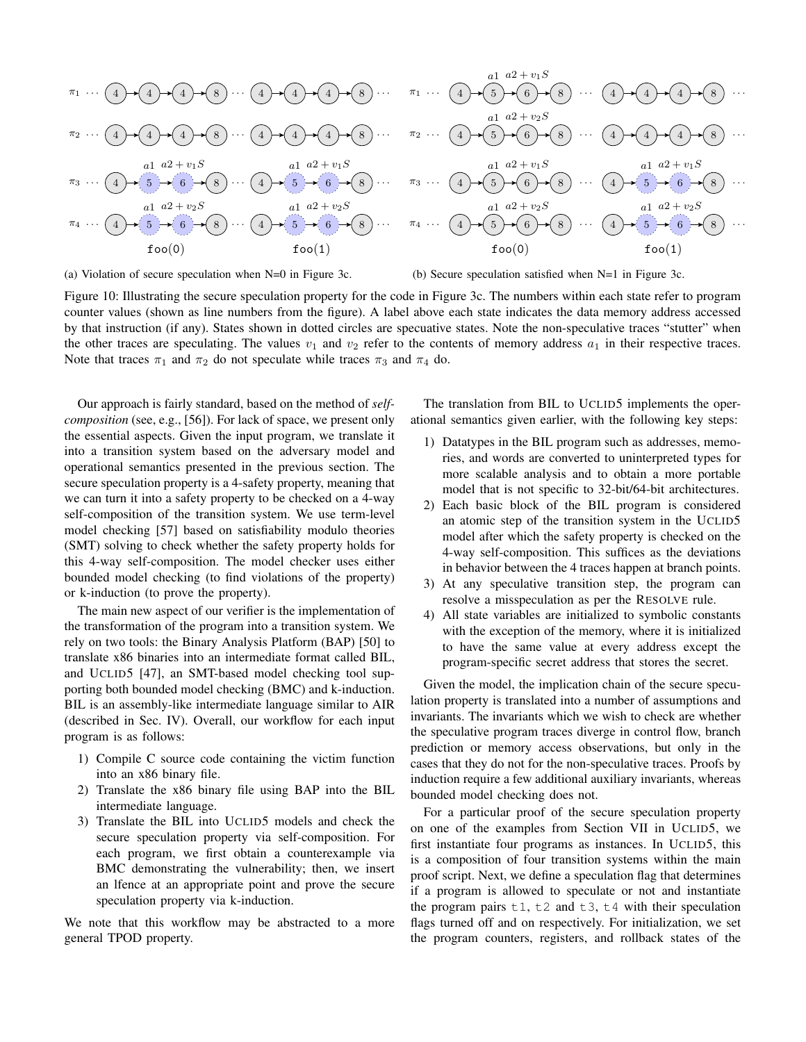<span id="page-11-0"></span>

(a) Violation of secure speculation when N=0 in Figure [3c](#page-3-1).

(b) Secure speculation satisfied when N=1 in Figure [3c](#page-3-1).

Figure 10: Illustrating the secure speculation property for the code in Figure [3c.](#page-3-1) The numbers within each state refer to program counter values (shown as line numbers from the figure). A label above each state indicates the data memory address accessed by that instruction (if any). States shown in dotted circles are specuative states. Note the non-speculative traces "stutter" when the other traces are speculating. The values  $v_1$  and  $v_2$  refer to the contents of memory address  $a_1$  in their respective traces. Note that traces  $\pi_1$  and  $\pi_2$  do not speculate while traces  $\pi_3$  and  $\pi_4$  do.

Our approach is fairly standard, based on the method of *selfcomposition* (see, e.g., [\[56\]](#page-15-31)). For lack of space, we present only the essential aspects. Given the input program, we translate it into a transition system based on the adversary model and operational semantics presented in the previous section. The secure speculation property is a 4-safety property, meaning that we can turn it into a safety property to be checked on a 4-way self-composition of the transition system. We use term-level model checking [\[57\]](#page-15-32) based on satisfiability modulo theories (SMT) solving to check whether the safety property holds for this 4-way self-composition. The model checker uses either bounded model checking (to find violations of the property) or k-induction (to prove the property).

The main new aspect of our verifier is the implementation of the transformation of the program into a transition system. We rely on two tools: the Binary Analysis Platform (BAP) [\[50\]](#page-15-25) to translate x86 binaries into an intermediate format called BIL, and UCLID5 [\[47\]](#page-15-20), an SMT-based model checking tool supporting both bounded model checking (BMC) and k-induction. BIL is an assembly-like intermediate language similar to AIR (described in Sec. [IV\)](#page-6-0). Overall, our workflow for each input program is as follows:

- 1) Compile C source code containing the victim function into an x86 binary file.
- 2) Translate the x86 binary file using BAP into the BIL intermediate language.
- 3) Translate the BIL into UCLID5 models and check the secure speculation property via self-composition. For each program, we first obtain a counterexample via BMC demonstrating the vulnerability; then, we insert an lfence at an appropriate point and prove the secure speculation property via k-induction.

We note that this workflow may be abstracted to a more general TPOD property.

The translation from BIL to UCLID5 implements the operational semantics given earlier, with the following key steps:

- 1) Datatypes in the BIL program such as addresses, memories, and words are converted to uninterpreted types for more scalable analysis and to obtain a more portable model that is not specific to 32-bit/64-bit architectures.
- 2) Each basic block of the BIL program is considered an atomic step of the transition system in the UCLID5 model after which the safety property is checked on the 4-way self-composition. This suffices as the deviations in behavior between the 4 traces happen at branch points.
- 3) At any speculative transition step, the program can resolve a misspeculation as per the RESOLVE rule.
- 4) All state variables are initialized to symbolic constants with the exception of the memory, where it is initialized to have the same value at every address except the program-specific secret address that stores the secret.

Given the model, the implication chain of the secure speculation property is translated into a number of assumptions and invariants. The invariants which we wish to check are whether the speculative program traces diverge in control flow, branch prediction or memory access observations, but only in the cases that they do not for the non-speculative traces. Proofs by induction require a few additional auxiliary invariants, whereas bounded model checking does not.

For a particular proof of the secure speculation property on one of the examples from Section [VII](#page-12-0) in UCLID5, we first instantiate four programs as instances. In UCLID5, this is a composition of four transition systems within the main proof script. Next, we define a speculation flag that determines if a program is allowed to speculate or not and instantiate the program pairs  $t1$ ,  $t2$  and  $t3$ ,  $t4$  with their speculation flags turned off and on respectively. For initialization, we set the program counters, registers, and rollback states of the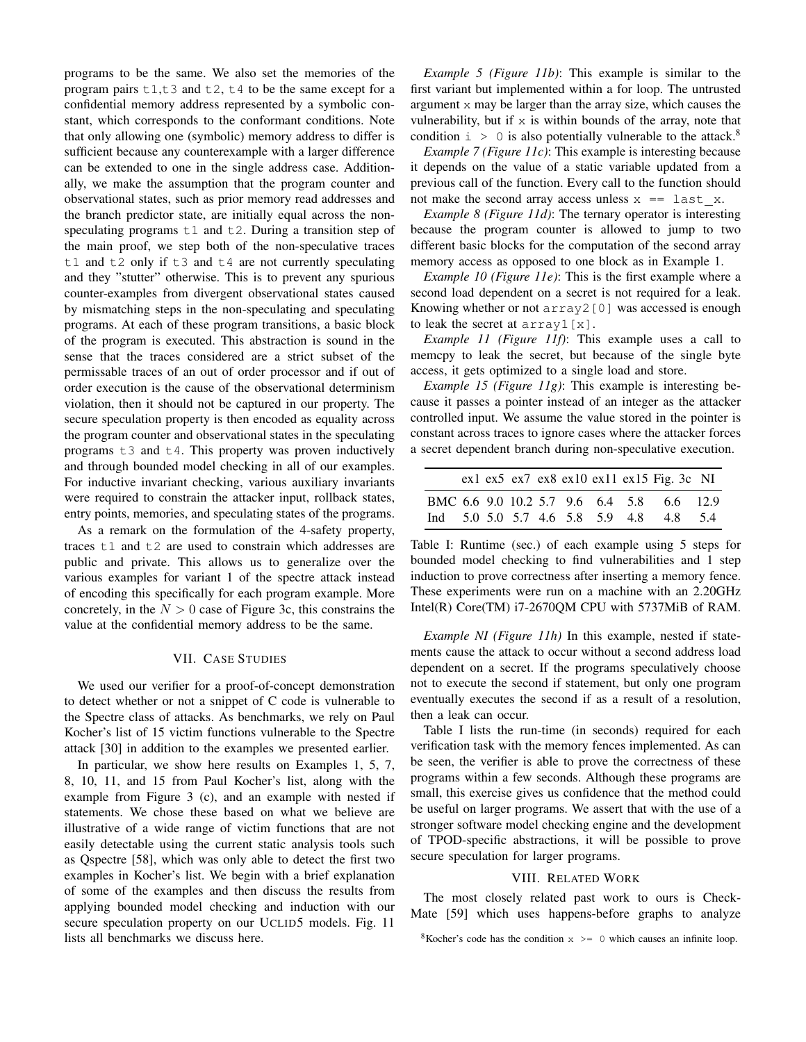programs to be the same. We also set the memories of the program pairs  $t1, t3$  and  $t2, t4$  to be the same except for a confidential memory address represented by a symbolic constant, which corresponds to the conformant conditions. Note that only allowing one (symbolic) memory address to differ is sufficient because any counterexample with a larger difference can be extended to one in the single address case. Additionally, we make the assumption that the program counter and observational states, such as prior memory read addresses and the branch predictor state, are initially equal across the nonspeculating programs  $t1$  and  $t2$ . During a transition step of the main proof, we step both of the non-speculative traces t1 and t2 only if t3 and t4 are not currently speculating and they "stutter" otherwise. This is to prevent any spurious counter-examples from divergent observational states caused by mismatching steps in the non-speculating and speculating programs. At each of these program transitions, a basic block of the program is executed. This abstraction is sound in the sense that the traces considered are a strict subset of the permissable traces of an out of order processor and if out of order execution is the cause of the observational determinism violation, then it should not be captured in our property. The secure speculation property is then encoded as equality across the program counter and observational states in the speculating programs  $\pm 3$  and  $\pm 4$ . This property was proven inductively and through bounded model checking in all of our examples. For inductive invariant checking, various auxiliary invariants were required to constrain the attacker input, rollback states, entry points, memories, and speculating states of the programs.

As a remark on the formulation of the 4-safety property, traces t1 and t2 are used to constrain which addresses are public and private. This allows us to generalize over the various examples for variant 1 of the spectre attack instead of encoding this specifically for each program example. More concretely, in the  $N > 0$  case of Figure [3c](#page-3-1), this constrains the value at the confidential memory address to be the same.

## VII. CASE STUDIES

<span id="page-12-0"></span>We used our verifier for a proof-of-concept demonstration to detect whether or not a snippet of C code is vulnerable to the Spectre class of attacks. As benchmarks, we rely on Paul Kocher's list of 15 victim functions vulnerable to the Spectre attack [\[30\]](#page-15-6) in addition to the examples we presented earlier.

In particular, we show here results on Examples 1, 5, 7, 8, 10, 11, and 15 from Paul Kocher's list, along with the example from Figure [3](#page-3-1) (c), and an example with nested if statements. We chose these based on what we believe are illustrative of a wide range of victim functions that are not easily detectable using the current static analysis tools such as Qspectre [\[58\]](#page-15-33), which was only able to detect the first two examples in Kocher's list. We begin with a brief explanation of some of the examples and then discuss the results from applying bounded model checking and induction with our secure speculation property on our UCLID5 models. Fig. [11](#page-13-0) lists all benchmarks we discuss here.

*Example 5 (Figure [11b](#page-13-0))*: This example is similar to the first variant but implemented within a for loop. The untrusted argument x may be larger than the array size, which causes the vulnerability, but if  $x$  is within bounds of the array, note that condition  $\mu > 0$  is also potentially vulnerable to the attack.<sup>[8](#page-12-2)</sup>

*Example 7 (Figure [11c](#page-13-0))*: This example is interesting because it depends on the value of a static variable updated from a previous call of the function. Every call to the function should not make the second array access unless  $x =$  last x.

*Example 8 (Figure [11d](#page-13-0))*: The ternary operator is interesting because the program counter is allowed to jump to two different basic blocks for the computation of the second array memory access as opposed to one block as in Example 1.

*Example 10 (Figure [11e](#page-13-0))*: This is the first example where a second load dependent on a secret is not required for a leak. Knowing whether or not  $\arctan 2[0]$  was accessed is enough to leak the secret at array1[x].

*Example 11 (Figure [11f](#page-13-0))*: This example uses a call to memcpy to leak the secret, but because of the single byte access, it gets optimized to a single load and store.

*Example 15 (Figure [11g](#page-13-0))*: This example is interesting because it passes a pointer instead of an integer as the attacker controlled input. We assume the value stored in the pointer is constant across traces to ignore cases where the attacker forces a secret dependent branch during non-speculative execution.

<span id="page-12-3"></span>

|  |  |  |  | $ex1 ex5 ex7 ex8 ex10 ex11 ex15 Fig. 3c NI$               |  |
|--|--|--|--|-----------------------------------------------------------|--|
|  |  |  |  | BMC 6.6 9.0 10.2 5.7 9.6 6.4 5.8 6.6 12.9                 |  |
|  |  |  |  | Ind $5.0$ $5.0$ $5.7$ $4.6$ $5.8$ $5.9$ $4.8$ $4.8$ $5.4$ |  |

Table I: Runtime (sec.) of each example using 5 steps for bounded model checking to find vulnerabilities and 1 step induction to prove correctness after inserting a memory fence. These experiments were run on a machine with an 2.20GHz Intel(R) Core(TM) i7-2670QM CPU with 5737MiB of RAM.

*Example NI (Figure [11h](#page-13-0))* In this example, nested if statements cause the attack to occur without a second address load dependent on a secret. If the programs speculatively choose not to execute the second if statement, but only one program eventually executes the second if as a result of a resolution, then a leak can occur.

Table [I](#page-12-3) lists the run-time (in seconds) required for each verification task with the memory fences implemented. As can be seen, the verifier is able to prove the correctness of these programs within a few seconds. Although these programs are small, this exercise gives us confidence that the method could be useful on larger programs. We assert that with the use of a stronger software model checking engine and the development of TPOD-specific abstractions, it will be possible to prove secure speculation for larger programs.

# VIII. RELATED WORK

<span id="page-12-1"></span>The most closely related past work to ours is Check-Mate [\[59\]](#page-15-34) which uses happens-before graphs to analyze

<span id="page-12-2"></span><sup>&</sup>lt;sup>8</sup>Kocher's code has the condition  $x \ge 0$  which causes an infinite loop.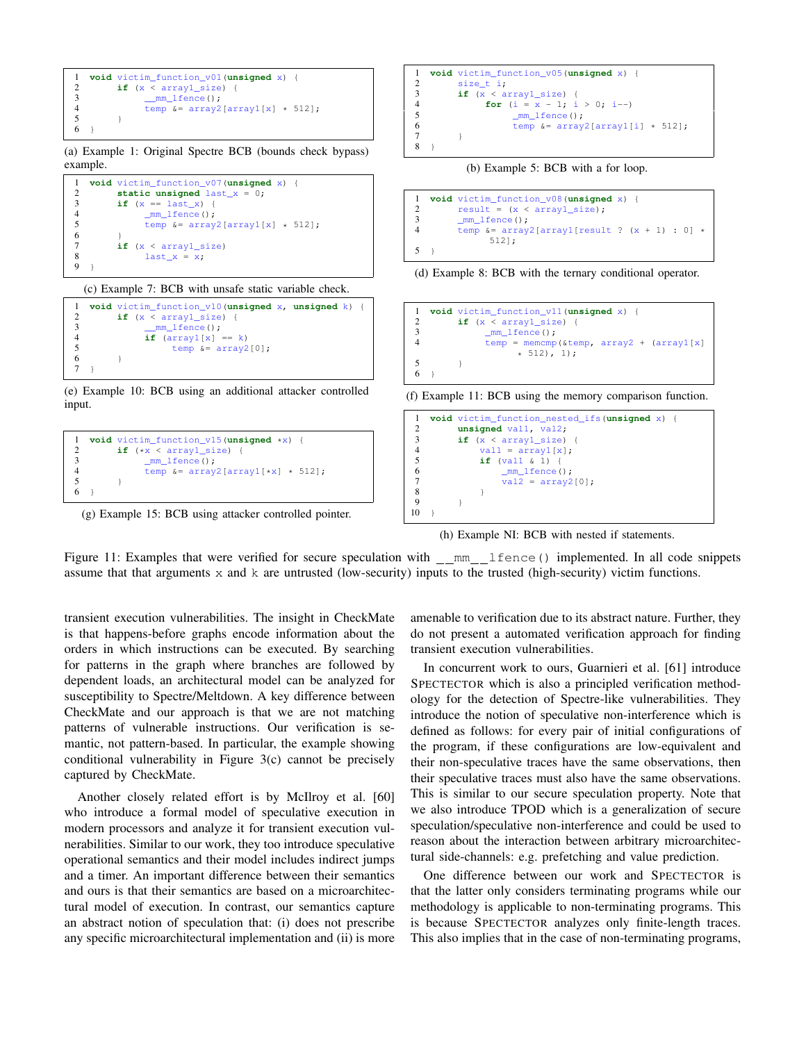```
1 void victim_function_v01(unsigned x) {
2 if (x < \text{array1\_size}) {<br>3 mm lfence ():
3 \frac{mm\_1fence();}{temp <= array2}4 temp \&= array2[array1[x] * 512];
\begin{array}{c} 5 \\ 6 \end{array} }
    \overline{1}
```
(a) Example 1: Original Spectre BCB (bounds check bypass) example.

```
1 void victim_function_v07(unsigned x) {
2 static unsigned last_x = 0;<br>3 if (x == last x) {
3 if (x == last_x) {<br>4 mm lfence():
4 mm\_1 fence ();<br>5 temp & = array
                 temp \&= array2[array1[x] \star 512];
\frac{6}{7}7 if (x < \text{array1\_size})<br>8 last_x = x;
8 last_x = x;
   \rightarrow
```
## (c) Example 7: BCB with unsafe static variable check.

```
1 void victim_function_v10(unsigned x, unsigned k) {
2 if (x < \text{array1\_size}) {<br>3 mm lfence();
\frac{3}{4} \frac{mm\_1fence()}{if (array1[v]}4 if \begin{array}{rcl} \textbf{array1}[x] &=& k \\ \textbf{5} & & \text{temp} \ \&=& \text{array2} \end{array}temp \&= array2[0];
 6 }
7 }
```
## (e) Example 10: BCB using an additional attacker controlled input.

```
1 void victim_function_v15(unsigned *x) {
2 if (\star x < \text{array}1\_size)<br>3 mm lfence():
               mm lfence();
4 temp \&= array2[array1[*x] * 512];
         \overline{ }6 }
```
(g) Example 15: BCB using attacker controlled pointer.

```
1 void victim_function_v05(unsigned x) {
2 size_t i;<br>3 iff(x < a3 if (x < \text{array1\_size}) {<br>4 for (i = x - 1; i)4 for (i = x - 1; i > 0; i--)<br>5 mm lfence();
5 mm_\text{mm} = fence ();<br>6 temp &= array.
6 temp \&= array2[array1[i] \star 512];
7 }
8 }
```
(b) Example 5: BCB with a for loop.

```
1 void victim_function_v08(unsigned x) {<br>2 result = (x \leq \arctan x) size):
           result = (x < array1_size);3 _mm_lfence();<br>4 temp &= array.
           \frac{1}{2} temp &= array2[array1[result ? (x + 1) : 0] *
                   512];
5 }
```


```
1 void victim_function_v11(unsigned x) {
2 if (x < \text{array1\_size}) {<br>3 mm lfence();
             mm_lfence();
4 temp = memcmp(&temp, array2 + (array1[x]
                  * 512, 1);
5 }
6 }
```
(f) Example 11: BCB using the memory comparison function.

```
1 void victim_function_nested_ifs(unsigned x) {
2 unsigned val1, val2;<br>3 if (x < arrayl size)
        if (x < array1 size) {
4 vall = array1[x];<br>5 if val1 \in 1) {
            5 if (val1 & 1) {
6 mm lfence();
7 val2 = array2[0];<br>8 }
 8 }
 9 }
10 }
```
(h) Example NI: BCB with nested if statements.

Figure 11: Examples that were verified for secure speculation with  $\text{mm}$  lfence() implemented. In all code snippets assume that that arguments  $x$  and  $k$  are untrusted (low-security) inputs to the trusted (high-security) victim functions.

transient execution vulnerabilities. The insight in CheckMate is that happens-before graphs encode information about the orders in which instructions can be executed. By searching for patterns in the graph where branches are followed by dependent loads, an architectural model can be analyzed for susceptibility to Spectre/Meltdown. A key difference between CheckMate and our approach is that we are not matching patterns of vulnerable instructions. Our verification is semantic, not pattern-based. In particular, the example showing conditional vulnerability in Figure [3\(](#page-3-1)c) cannot be precisely captured by CheckMate.

Another closely related effort is by McIlroy et al. [\[60\]](#page-15-35) who introduce a formal model of speculative execution in modern processors and analyze it for transient execution vulnerabilities. Similar to our work, they too introduce speculative operational semantics and their model includes indirect jumps and a timer. An important difference between their semantics and ours is that their semantics are based on a microarchitectural model of execution. In contrast, our semantics capture an abstract notion of speculation that: (i) does not prescribe any specific microarchitectural implementation and (ii) is more

amenable to verification due to its abstract nature. Further, they do not present a automated verification approach for finding transient execution vulnerabilities.

In concurrent work to ours, Guarnieri et al. [\[61\]](#page-15-36) introduce SPECTECTOR which is also a principled verification methodology for the detection of Spectre-like vulnerabilities. They introduce the notion of speculative non-interference which is defined as follows: for every pair of initial configurations of the program, if these configurations are low-equivalent and their non-speculative traces have the same observations, then their speculative traces must also have the same observations. This is similar to our secure speculation property. Note that we also introduce TPOD which is a generalization of secure speculation/speculative non-interference and could be used to reason about the interaction between arbitrary microarchitectural side-channels: e.g. prefetching and value prediction.

One difference between our work and SPECTECTOR is that the latter only considers terminating programs while our methodology is applicable to non-terminating programs. This is because SPECTECTOR analyzes only finite-length traces. This also implies that in the case of non-terminating programs,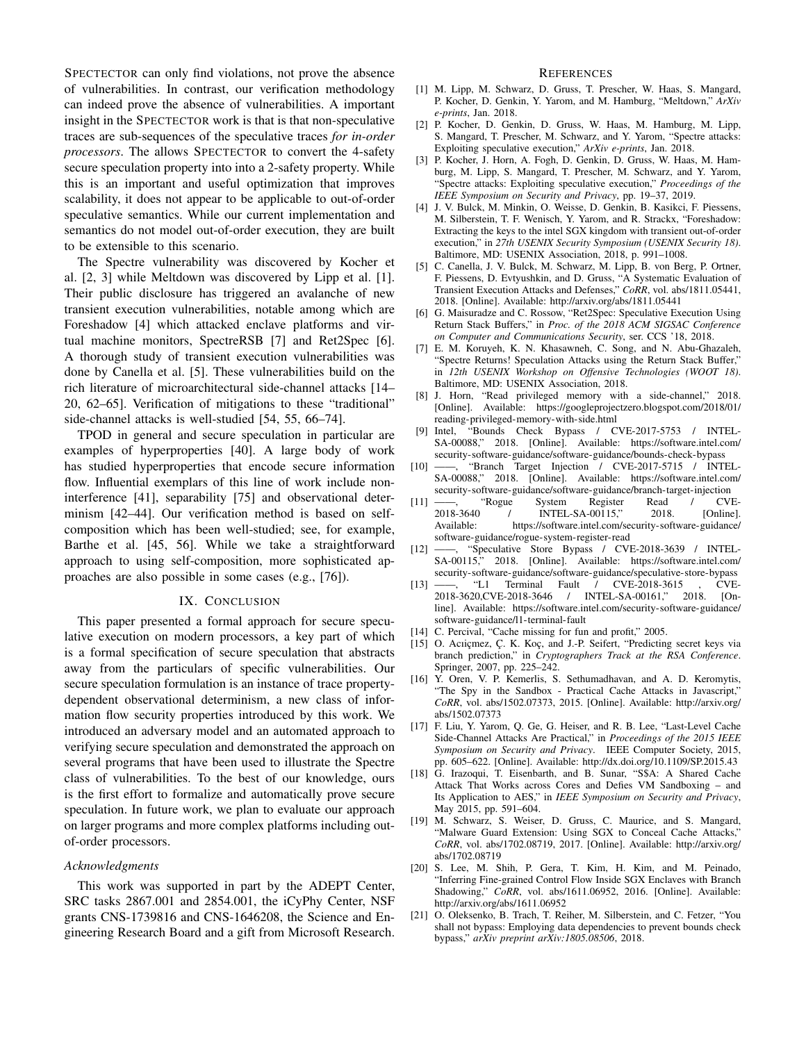SPECTECTOR can only find violations, not prove the absence of vulnerabilities. In contrast, our verification methodology can indeed prove the absence of vulnerabilities. A important insight in the SPECTECTOR work is that is that non-speculative traces are sub-sequences of the speculative traces *for in-order processors*. The allows SPECTECTOR to convert the 4-safety secure speculation property into into a 2-safety property. While this is an important and useful optimization that improves scalability, it does not appear to be applicable to out-of-order speculative semantics. While our current implementation and semantics do not model out-of-order execution, they are built to be extensible to this scenario.

The Spectre vulnerability was discovered by Kocher et al. [\[2,](#page-14-9) [3\]](#page-14-10) while Meltdown was discovered by Lipp et al. [\[1\]](#page-14-0). Their public disclosure has triggered an avalanche of new transient execution vulnerabilities, notable among which are Foreshadow [\[4\]](#page-14-11) which attacked enclave platforms and virtual machine monitors, SpectreRSB [\[7\]](#page-14-12) and Ret2Spec [\[6\]](#page-14-13). A thorough study of transient execution vulnerabilities was done by Canella et al. [\[5\]](#page-14-14). These vulnerabilities build on the rich literature of microarchitectural side-channel attacks [\[14–](#page-14-2) [20,](#page-14-3) [62–](#page-15-37)[65\]](#page-15-38). Verification of mitigations to these "traditional" side-channel attacks is well-studied [\[54,](#page-15-29) [55,](#page-15-30) [66–](#page-15-39)[74\]](#page-16-0).

TPOD in general and secure speculation in particular are examples of hyperproperties [\[40\]](#page-15-15). A large body of work has studied hyperproperties that encode secure information flow. Influential exemplars of this line of work include noninterference [\[41\]](#page-15-17), separability [\[75\]](#page-16-1) and observational determinism [\[42](#page-15-18)[–44\]](#page-15-19). Our verification method is based on selfcomposition which has been well-studied; see, for example, Barthe et al. [\[45,](#page-15-40) [56\]](#page-15-31). While we take a straightforward approach to using self-composition, more sophisticated approaches are also possible in some cases (e.g., [\[76\]](#page-16-2)).

## IX. CONCLUSION

<span id="page-14-8"></span>This paper presented a formal approach for secure speculative execution on modern processors, a key part of which is a formal specification of secure speculation that abstracts away from the particulars of specific vulnerabilities. Our secure speculation formulation is an instance of trace propertydependent observational determinism, a new class of information flow security properties introduced by this work. We introduced an adversary model and an automated approach to verifying secure speculation and demonstrated the approach on several programs that have been used to illustrate the Spectre class of vulnerabilities. To the best of our knowledge, ours is the first effort to formalize and automatically prove secure speculation. In future work, we plan to evaluate our approach on larger programs and more complex platforms including outof-order processors.

## *Acknowledgments*

This work was supported in part by the ADEPT Center, SRC tasks 2867.001 and 2854.001, the iCyPhy Center, NSF grants CNS-1739816 and CNS-1646208, the Science and Engineering Research Board and a gift from Microsoft Research.

#### **REFERENCES**

- <span id="page-14-0"></span>[1] M. Lipp, M. Schwarz, D. Gruss, T. Prescher, W. Haas, S. Mangard, P. Kocher, D. Genkin, Y. Yarom, and M. Hamburg, "Meltdown," *ArXiv e-prints*, Jan. 2018.
- <span id="page-14-9"></span>[2] P. Kocher, D. Genkin, D. Gruss, W. Haas, M. Hamburg, M. Lipp, S. Mangard, T. Prescher, M. Schwarz, and Y. Yarom, "Spectre attacks: Exploiting speculative execution," *ArXiv e-prints*, Jan. 2018.
- <span id="page-14-10"></span>[3] P. Kocher, J. Horn, A. Fogh, D. Genkin, D. Gruss, W. Haas, M. Hamburg, M. Lipp, S. Mangard, T. Prescher, M. Schwarz, and Y. Yarom, "Spectre attacks: Exploiting speculative execution," *Proceedings of the IEEE Symposium on Security and Privacy*, pp. 19–37, 2019.
- <span id="page-14-11"></span>[4] J. V. Bulck, M. Minkin, O. Weisse, D. Genkin, B. Kasikci, F. Piessens, M. Silberstein, T. F. Wenisch, Y. Yarom, and R. Strackx, "Foreshadow: Extracting the keys to the intel SGX kingdom with transient out-of-order execution," in *27th USENIX Security Symposium (USENIX Security 18)*. Baltimore, MD: USENIX Association, 2018, p. 991–1008.
- <span id="page-14-14"></span>[5] C. Canella, J. V. Bulck, M. Schwarz, M. Lipp, B. von Berg, P. Ortner, F. Piessens, D. Evtyushkin, and D. Gruss, "A Systematic Evaluation of Transient Execution Attacks and Defenses," *CoRR*, vol. abs/1811.05441, 2018. [Online]. Available:<http://arxiv.org/abs/1811.05441>
- <span id="page-14-13"></span>[6] G. Maisuradze and C. Rossow, "Ret2Spec: Speculative Execution Using Return Stack Buffers," in *Proc. of the 2018 ACM SIGSAC Conference on Computer and Communications Security*, ser. CCS '18, 2018.
- <span id="page-14-12"></span>[7] E. M. Koruyeh, K. N. Khasawneh, C. Song, and N. Abu-Ghazaleh, "Spectre Returns! Speculation Attacks using the Return Stack Buffer," in *12th USENIX Workshop on Offensive Technologies (WOOT 18)*. Baltimore, MD: USENIX Association, 2018.
- [8] J. Horn, "Read privileged memory with a side-channel," 2018. [Online]. Available: [https://googleprojectzero.blogspot.com/2018/01/](https://googleprojectzero.blogspot.com/2018/01/reading-privileged-memory-with-side.html) [reading-privileged-memory-with-side.html](https://googleprojectzero.blogspot.com/2018/01/reading-privileged-memory-with-side.html)
- <span id="page-14-4"></span>[9] Intel, "Bounds Check Bypass / CVE-2017-5753 / INTEL-SA-00088," 2018. [Online]. Available: [https://software.intel.com/](https://software.intel.com/security-software-guidance/software-guidance/bounds-check-bypass) [security-software-guidance/software-guidance/bounds-check-bypass](https://software.intel.com/security-software-guidance/software-guidance/bounds-check-bypass)
- <span id="page-14-7"></span>[10] ——, "Branch Target Injection / CVE-2017-5715 / INTEL-SA-00088," 2018. [Online]. Available: [https://software.intel.com/](https://software.intel.com/security-software-guidance/software-guidance/branch-target-injection) [security-software-guidance/software-guidance/branch-target-injection](https://software.intel.com/security-software-guidance/software-guidance/branch-target-injection)
- [11] ——, "Rogue System Register Read / CVE-<br>2018-3640 / INTEL-SA-00115," 2018. [Online]. 2018-3640 / INTEL-SA-00115," 2018. [Online]. Available: [https://software.intel.com/security-software-guidance/](https://software.intel.com/security-software-guidance/software-guidance/rogue-system-register-read) [software-guidance/rogue-system-register-read](https://software.intel.com/security-software-guidance/software-guidance/rogue-system-register-read)
- <span id="page-14-5"></span>[12] ——, "Speculative Store Bypass / CVE-2018-3639 / INTEL2018. [Online]. Available: [https://software.intel.com/](https://software.intel.com/security-software-guidance/software-guidance/speculative-store-bypass) [security-software-guidance/software-guidance/speculative-store-bypass](https://software.intel.com/security-software-guidance/software-guidance/speculative-store-bypass)<br>
- "L1 Terminal Fault / CVE-2018-3615 , CVE-
- <span id="page-14-1"></span> $[13]$   $\longrightarrow$ , "L1 Terminal Fault / CVE-2018-3615 2018-3620,CVE-2018-3646 / INTEL-SA-00161," 2018. [Online]. Available: [https://software.intel.com/security-software-guidance/](https://software.intel.com/security-software-guidance/software-guidance/l1-terminal-fault) [software-guidance/l1-terminal-fault](https://software.intel.com/security-software-guidance/software-guidance/l1-terminal-fault)
- <span id="page-14-2"></span>[14] C. Percival, "Cache missing for fun and profit," 2005.
- [15] O. Acıiçmez, Ç. K. Koç, and J.-P. Seifert, "Predicting secret keys via branch prediction," in *Cryptographers Track at the RSA Conference*. Springer, 2007, pp. 225–242.
- [16] Y. Oren, V. P. Kemerlis, S. Sethumadhavan, and A. D. Keromytis, "The Spy in the Sandbox - Practical Cache Attacks in Javascript," *CoRR*, vol. abs/1502.07373, 2015. [Online]. Available: [http://arxiv.org/](http://arxiv.org/abs/1502.07373) [abs/1502.07373](http://arxiv.org/abs/1502.07373)
- [17] F. Liu, Y. Yarom, O. Ge, G. Heiser, and R. B. Lee, "Last-Level Cache Side-Channel Attacks Are Practical," in *Proceedings of the 2015 IEEE Symposium on Security and Privacy*. IEEE Computer Society, 2015, pp. 605–622. [Online]. Available:<http://dx.doi.org/10.1109/SP.2015.43>
- [18] G. Irazoqui, T. Eisenbarth, and B. Sunar, "S\$A: A Shared Cache Attack That Works across Cores and Defies VM Sandboxing – and Its Application to AES," in *IEEE Symposium on Security and Privacy*, May 2015, pp. 591–604.
- [19] M. Schwarz, S. Weiser, D. Gruss, C. Maurice, and S. Mangard, "Malware Guard Extension: Using SGX to Conceal Cache Attacks," *CoRR*, vol. abs/1702.08719, 2017. [Online]. Available: [http://arxiv.org/](http://arxiv.org/abs/1702.08719) [abs/1702.08719](http://arxiv.org/abs/1702.08719)
- <span id="page-14-3"></span>[20] S. Lee, M. Shih, P. Gera, T. Kim, H. Kim, and M. Peinado, "Inferring Fine-grained Control Flow Inside SGX Enclaves with Branch Shadowing," *CoRR*, vol. abs/1611.06952, 2016. [Online]. Available: <http://arxiv.org/abs/1611.06952>
- <span id="page-14-6"></span>[21] O. Oleksenko, B. Trach, T. Reiher, M. Silberstein, and C. Fetzer, "You shall not bypass: Employing data dependencies to prevent bounds check bypass," *arXiv preprint arXiv:1805.08506*, 2018.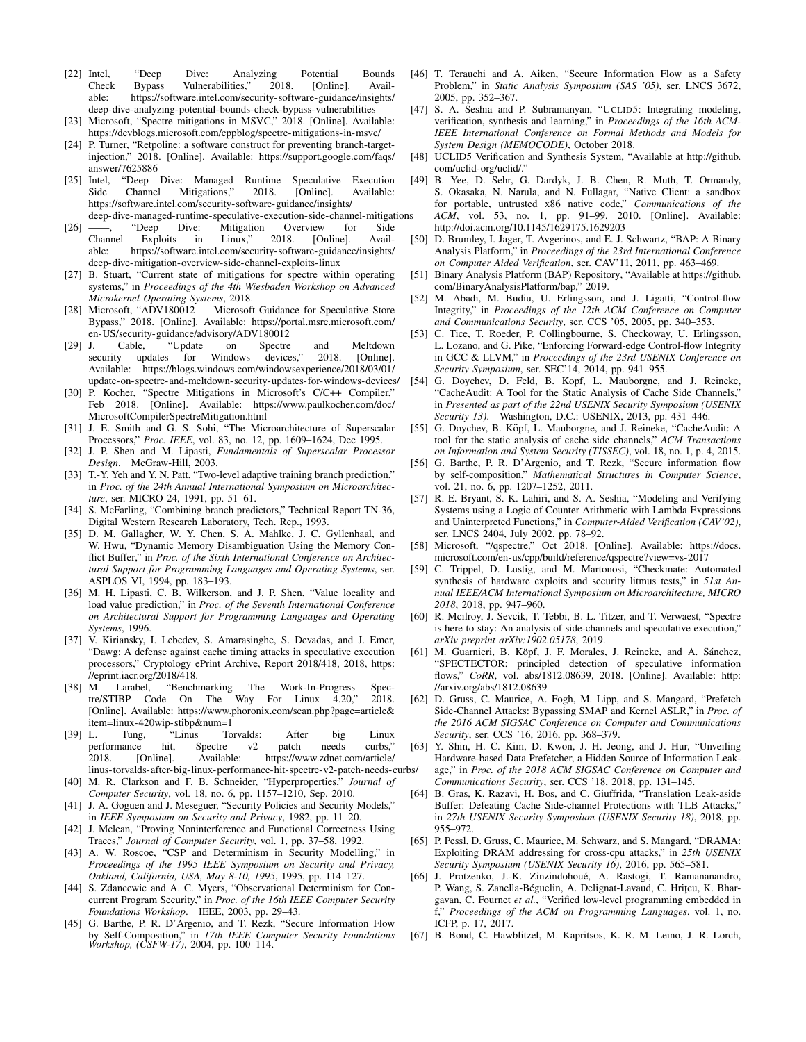- <span id="page-15-23"></span>[22] Intel, "Deep Dive: Analyzing Potential Bounds<br>Check Bypass Vulnerabilities," 2018. [Online]. Avail-Check Bypass Vulnerabilities," 2018. [Online]. Availhttps://software.intel.com/security-software-guidance/insights/ [deep-dive-analyzing-potential-bounds-check-bypass-vulnerabilities](https://software.intel.com/security-software-guidance/insights/deep-dive-analyzing-potential-bounds-check-bypass-vulnerabilities)
- <span id="page-15-5"></span>[23] Microsoft, "Spectre mitigations in MSVC," 2018. [Online]. Available: <https://devblogs.microsoft.com/cppblog/spectre-mitigations-in-msvc/>
- <span id="page-15-11"></span>[24] P. Turner, "Retpoline: a software construct for preventing branch-targetinjection," 2018. [Online]. Available: [https://support.google.com/faqs/](https://support.google.com/faqs/answer/7625886) [answer/7625886](https://support.google.com/faqs/answer/7625886)
- <span id="page-15-0"></span>[25] Intel, "Deep Dive: Managed Runtime Speculative Execution Side Channel Mitigations," 2018. [Online]. Available: [https://software.intel.com/security-software-guidance/insights/](https://software.intel.com/security-software-guidance/insights/deep-dive-managed-runtime-speculative-execution-side-channel-mitigations) [deep-dive-managed-runtime-speculative-execution-side-channel-mitigations](https://software.intel.com/security-software-guidance/insights/deep-dive-managed-runtime-speculative-execution-side-channel-mitigations)
- <span id="page-15-1"></span>[26] ——, "Deep Dive: Mitigation Overview for Side<br>Channel Exploits in Linux," 2018. [Online]. Avail-Channel Exploits in Linux," 2018. [Online]. Available: [https://software.intel.com/security-software-guidance/insights/](https://software.intel.com/security-software-guidance/insights/deep-dive-mitigation-overview-side-channel-exploits-linux) [deep-dive-mitigation-overview-side-channel-exploits-linux](https://software.intel.com/security-software-guidance/insights/deep-dive-mitigation-overview-side-channel-exploits-linux)
- <span id="page-15-2"></span>[27] B. Stuart, "Current state of mitigations for spectre within operating systems," in *Proceedings of the 4th Wiesbaden Workshop on Advanced Microkernel Operating Systems*, 2018.
- <span id="page-15-3"></span>[28] Microsoft, "ADV180012 — Microsoft Guidance for Speculative Store Bypass," 2018. [Online]. Available: [https://portal.msrc.microsoft.com/](https://portal.msrc.microsoft.com/en-US/security-guidance/advisory/ADV180012) [en-US/security-guidance/advisory/ADV180012](https://portal.msrc.microsoft.com/en-US/security-guidance/advisory/ADV180012)
- <span id="page-15-4"></span>[29] J. Cable, "Update on Spectre and Meltdown security updates for Windows devices," 2018. [Online]. Available: [https://blogs.windows.com/windowsexperience/2018/03/01/](https://blogs.windows.com/windowsexperience/2018/03/01/update-on-spectre-and-meltdown-security-updates-for-windows-devices/) [update-on-spectre-and-meltdown-security-updates-for-windows-devices/](https://blogs.windows.com/windowsexperience/2018/03/01/update-on-spectre-and-meltdown-security-updates-for-windows-devices/)
- <span id="page-15-6"></span>[30] P. Kocher, "Spectre Mitigations in Microsoft's C/C++ Compiler," Feb 2018. [Online]. Available: [https://www.paulkocher.com/doc/](https://www.paulkocher.com/doc/MicrosoftCompilerSpectreMitigation.html) [MicrosoftCompilerSpectreMitigation.html](https://www.paulkocher.com/doc/MicrosoftCompilerSpectreMitigation.html)
- <span id="page-15-7"></span>[31] J. E. Smith and G. S. Sohi, "The Microarchitecture of Superscalar Processors," *Proc. IEEE*, vol. 83, no. 12, pp. 1609–1624, Dec 1995.
- <span id="page-15-8"></span>[32] J. P. Shen and M. Lipasti, *Fundamentals of Superscalar Processor Design*. McGraw-Hill, 2003.
- <span id="page-15-9"></span>[33] T.-Y. Yeh and Y. N. Patt, "Two-level adaptive training branch prediction," in *Proc. of the 24th Annual International Symposium on Microarchitecture*, ser. MICRO 24, 1991, pp. 51–61.
- [34] S. McFarling, "Combining branch predictors," Technical Report TN-36, Digital Western Research Laboratory, Tech. Rep., 1993.
- [35] D. M. Gallagher, W. Y. Chen, S. A. Mahlke, J. C. Gyllenhaal, and W. Hwu, "Dynamic Memory Disambiguation Using the Memory Conflict Buffer," in *Proc. of the Sixth International Conference on Architectural Support for Programming Languages and Operating Systems*, ser. ASPLOS VI, 1994, pp. 183–193.
- <span id="page-15-10"></span>[36] M. H. Lipasti, C. B. Wilkerson, and J. P. Shen, "Value locality and load value prediction," in *Proc. of the Seventh International Conference on Architectural Support for Programming Languages and Operating Systems*, 1996.
- <span id="page-15-12"></span>[37] V. Kiriansky, I. Lebedev, S. Amarasinghe, S. Devadas, and J. Emer, "Dawg: A defense against cache timing attacks in speculative execution processors," Cryptology ePrint Archive, Report 2018/418, 2018, [https:](https://eprint.iacr.org/2018/418) [//eprint.iacr.org/2018/418.](https://eprint.iacr.org/2018/418)
- <span id="page-15-13"></span>[38] M. Larabel, "Benchmarking The Work-In-Progress Spectre/STIBP Code On The Way For Linux 4.20," 2018. [Online]. Available: [https://www.phoronix.com/scan.php?page=article&](https://www.phoronix.com/scan.php?page=article&item=linux-420wip-stibp&num=1) [item=linux-420wip-stibp&num=1](https://www.phoronix.com/scan.php?page=article&item=linux-420wip-stibp&num=1)<br>L. Tung, "Linus To
- <span id="page-15-14"></span>[39] L. Tung, "Linus Torvalds: After big Linux performance hit, Spectre v2 patch needs curbs," 2018. [Online]. Available: [https://www.zdnet.com/article/](https://www.zdnet.com/article/linus-torvalds-after-big-linux-performance-hit-spectre-v2-patch-needs-curbs/) [linus-torvalds-after-big-linux-performance-hit-spectre-v2-patch-needs-curbs/](https://www.zdnet.com/article/linus-torvalds-after-big-linux-performance-hit-spectre-v2-patch-needs-curbs/)
- <span id="page-15-15"></span>[40] M. R. Clarkson and F. B. Schneider, "Hyperproperties," *Journal of Computer Security*, vol. 18, no. 6, pp. 1157–1210, Sep. 2010.
- <span id="page-15-17"></span>[41] J. A. Goguen and J. Meseguer, "Security Policies and Security Models," in *IEEE Symposium on Security and Privacy*, 1982, pp. 11–20.
- <span id="page-15-18"></span>[42] J. Mclean, "Proving Noninterference and Functional Correctness Using Traces," *Journal of Computer Security*, vol. 1, pp. 37–58, 1992.
- <span id="page-15-24"></span>[43] A. W. Roscoe, "CSP and Determinism in Security Modelling," in *Proceedings of the 1995 IEEE Symposium on Security and Privacy, Oakland, California, USA, May 8-10, 1995*, 1995, pp. 114–127.
- <span id="page-15-19"></span>[44] S. Zdancewic and A. C. Myers, "Observational Determinism for Concurrent Program Security," in *Proc. of the 16th IEEE Computer Security Foundations Workshop*. IEEE, 2003, pp. 29–43.
- <span id="page-15-40"></span>[45] G. Barthe, P. R. D'Argenio, and T. Rezk, "Secure Information Flow by Self-Composition," in *17th IEEE Computer Security Foundations Workshop, (CSFW-17)*, 2004, pp. 100–114.
- <span id="page-15-16"></span>[46] T. Terauchi and A. Aiken, "Secure Information Flow as a Safety Problem," in *Static Analysis Symposium (SAS '05)*, ser. LNCS 3672, 2005, pp. 352–367.
- <span id="page-15-20"></span>[47] S. A. Seshia and P. Subramanyan, "UCLID5: Integrating modeling, verification, synthesis and learning," in *Proceedings of the 16th ACM-IEEE International Conference on Formal Methods and Models for System Design (MEMOCODE)*, October 2018.
- <span id="page-15-21"></span>[48] UCLID5 Verification and Synthesis System, "Available at [http://github.](http://github.com/uclid-org/uclid/) [com/uclid-org/uclid/.](http://github.com/uclid-org/uclid/)"
- <span id="page-15-22"></span>[49] B. Yee, D. Sehr, G. Dardyk, J. B. Chen, R. Muth, T. Ormandy, S. Okasaka, N. Narula, and N. Fullagar, "Native Client: a sandbox for portable, untrusted x86 native code," *Communications of the ACM*, vol. 53, no. 1, pp. 91–99, 2010. [Online]. Available: <http://doi.acm.org/10.1145/1629175.1629203>
- <span id="page-15-25"></span>[50] D. Brumley, I. Jager, T. Avgerinos, and E. J. Schwartz, "BAP: A Binary Analysis Platform," in *Proceedings of the 23rd International Conference on Computer Aided Verification*, ser. CAV'11, 2011, pp. 463–469.
- <span id="page-15-26"></span>[51] Binary Analysis Platform (BAP) Repository, "Available at [https://github.](https://github.com/BinaryAnalysisPlatform/bap) [com/BinaryAnalysisPlatform/bap,](https://github.com/BinaryAnalysisPlatform/bap)" 2019.
- <span id="page-15-27"></span>[52] M. Abadi, M. Budiu, U. Erlingsson, and J. Ligatti, "Control-flow Integrity," in *Proceedings of the 12th ACM Conference on Computer and Communications Security*, ser. CCS '05, 2005, pp. 340–353.
- <span id="page-15-28"></span>[53] C. Tice, T. Roeder, P. Collingbourne, S. Checkoway, U. Erlingsson, L. Lozano, and G. Pike, "Enforcing Forward-edge Control-flow Integrity in GCC & LLVM," in *Proceedings of the 23rd USENIX Conference on Security Symposium*, ser. SEC'14, 2014, pp. 941–955.
- <span id="page-15-29"></span>[54] G. Doychev, D. Feld, B. Kopf, L. Mauborgne, and J. Reineke, "CacheAudit: A Tool for the Static Analysis of Cache Side Channels," in *Presented as part of the 22nd USENIX Security Symposium (USENIX Security 13)*. Washington, D.C.: USENIX, 2013, pp. 431–446.
- <span id="page-15-30"></span>[55] G. Doychev, B. Köpf, L. Mauborgne, and J. Reineke, "CacheAudit: A tool for the static analysis of cache side channels," *ACM Transactions on Information and System Security (TISSEC)*, vol. 18, no. 1, p. 4, 2015.
- <span id="page-15-31"></span>[56] G. Barthe, P. R. D'Argenio, and T. Rezk, "Secure information flow by self-composition," *Mathematical Structures in Computer Science*, vol. 21, no. 6, pp. 1207–1252, 2011.
- <span id="page-15-32"></span>[57] R. E. Bryant, S. K. Lahiri, and S. A. Seshia, "Modeling and Verifying Systems using a Logic of Counter Arithmetic with Lambda Expressions and Uninterpreted Functions," in *Computer-Aided Verification (CAV'02)*, ser. LNCS 2404, July 2002, pp. 78–92.
- <span id="page-15-33"></span>[58] Microsoft, "/qspectre," Oct 2018. [Online]. Available: [https://docs.](https://docs.microsoft.com/en-us/cpp/build/reference/qspectre?view=vs-2017) [microsoft.com/en-us/cpp/build/reference/qspectre?view=vs-2017](https://docs.microsoft.com/en-us/cpp/build/reference/qspectre?view=vs-2017)
- <span id="page-15-34"></span>[59] C. Trippel, D. Lustig, and M. Martonosi, "Checkmate: Automated synthesis of hardware exploits and security litmus tests," in *51st Annual IEEE/ACM International Symposium on Microarchitecture, MICRO 2018*, 2018, pp. 947–960.
- <span id="page-15-35"></span>[60] R. Mcilroy, J. Sevcik, T. Tebbi, B. L. Titzer, and T. Verwaest, "Spectre is here to stay: An analysis of side-channels and speculative execution," *arXiv preprint arXiv:1902.05178*, 2019.
- <span id="page-15-36"></span>[61] M. Guarnieri, B. Köpf, J. F. Morales, J. Reineke, and A. Sánchez, "SPECTECTOR: principled detection of speculative information flows," *CoRR*, vol. abs/1812.08639, 2018. [Online]. Available: [http:](http://arxiv.org/abs/1812.08639) [//arxiv.org/abs/1812.08639](http://arxiv.org/abs/1812.08639)
- <span id="page-15-37"></span>[62] D. Gruss, C. Maurice, A. Fogh, M. Lipp, and S. Mangard, "Prefetch Side-Channel Attacks: Bypassing SMAP and Kernel ASLR," in *Proc. of the 2016 ACM SIGSAC Conference on Computer and Communications Security*, ser. CCS '16, 2016, pp. 368–379.
- [63] Y. Shin, H. C. Kim, D. Kwon, J. H. Jeong, and J. Hur, "Unveiling Hardware-based Data Prefetcher, a Hidden Source of Information Leakage," in *Proc. of the 2018 ACM SIGSAC Conference on Computer and Communications Security*, ser. CCS '18, 2018, pp. 131–145.
- [64] B. Gras, K. Razavi, H. Bos, and C. Giuffrida, "Translation Leak-aside Buffer: Defeating Cache Side-channel Protections with TLB Attacks," in *27th USENIX Security Symposium (USENIX Security 18)*, 2018, pp. 955–972.
- <span id="page-15-38"></span>[65] P. Pessl, D. Gruss, C. Maurice, M. Schwarz, and S. Mangard, "DRAMA: Exploiting DRAM addressing for cross-cpu attacks," in *25th USENIX Security Symposium (USENIX Security 16)*, 2016, pp. 565–581.
- <span id="page-15-39"></span>[66] J. Protzenko, J.-K. Zinzindohoué, A. Rastogi, T. Ramananandro, P. Wang, S. Zanella-Béguelin, A. Delignat-Lavaud, C. Hritçu, K. Bhargavan, C. Fournet *et al.*, "Verified low-level programming embedded in f," *Proceedings of the ACM on Programming Languages*, vol. 1, no. ICFP, p. 17, 2017.
- [67] B. Bond, C. Hawblitzel, M. Kapritsos, K. R. M. Leino, J. R. Lorch,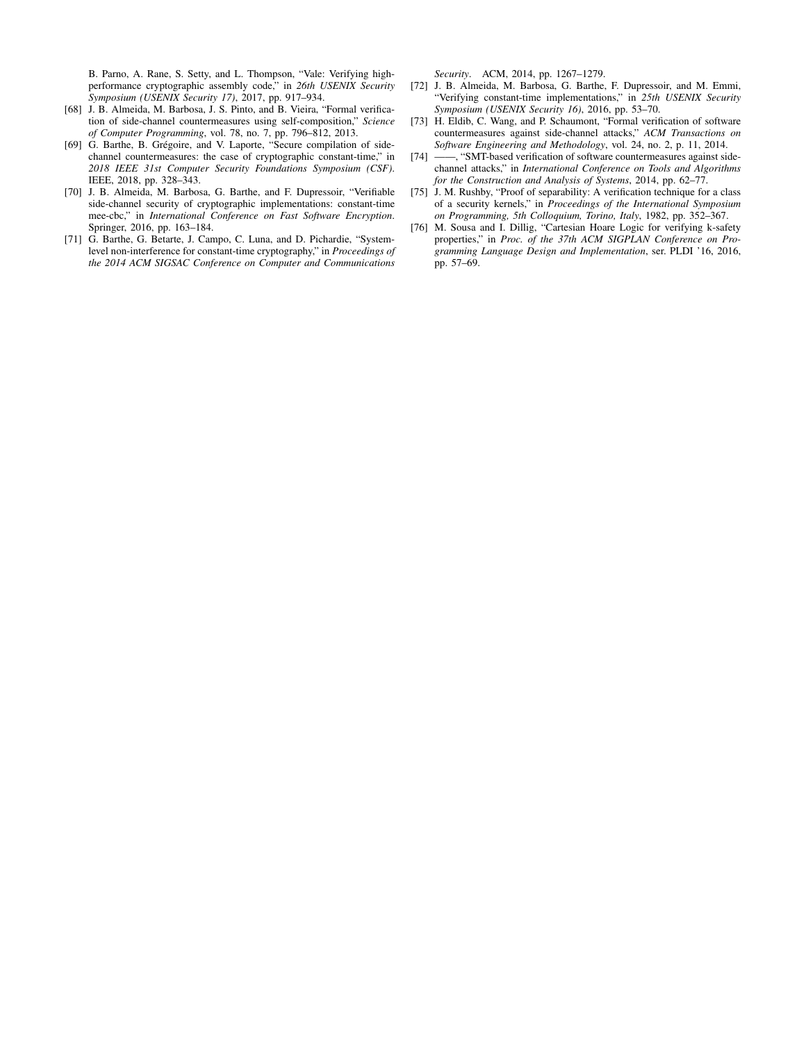B. Parno, A. Rane, S. Setty, and L. Thompson, "Vale: Verifying highperformance cryptographic assembly code," in *26th USENIX Security Symposium (USENIX Security 17)*, 2017, pp. 917–934.

- [68] J. B. Almeida, M. Barbosa, J. S. Pinto, and B. Vieira, "Formal verification of side-channel countermeasures using self-composition," *Science of Computer Programming*, vol. 78, no. 7, pp. 796–812, 2013.
- [69] G. Barthe, B. Grégoire, and V. Laporte, "Secure compilation of sidechannel countermeasures: the case of cryptographic constant-time," in *2018 IEEE 31st Computer Security Foundations Symposium (CSF)*. IEEE, 2018, pp. 328–343.
- [70] J. B. Almeida, M. Barbosa, G. Barthe, and F. Dupressoir, "Verifiable side-channel security of cryptographic implementations: constant-time mee-cbc," in *International Conference on Fast Software Encryption*. Springer, 2016, pp. 163–184.
- [71] G. Barthe, G. Betarte, J. Campo, C. Luna, and D. Pichardie, "Systemlevel non-interference for constant-time cryptography," in *Proceedings of the 2014 ACM SIGSAC Conference on Computer and Communications*

*Security*. ACM, 2014, pp. 1267–1279.

- [72] J. B. Almeida, M. Barbosa, G. Barthe, F. Dupressoir, and M. Emmi, "Verifying constant-time implementations," in *25th USENIX Security Symposium (USENIX Security 16)*, 2016, pp. 53–70.
- [73] H. Eldib, C. Wang, and P. Schaumont, "Formal verification of software countermeasures against side-channel attacks," *ACM Transactions on Software Engineering and Methodology*, vol. 24, no. 2, p. 11, 2014.
- <span id="page-16-0"></span>[74] ——, "SMT-based verification of software countermeasures against sidechannel attacks," in *International Conference on Tools and Algorithms for the Construction and Analysis of Systems*, 2014, pp. 62–77.
- <span id="page-16-1"></span>[75] J. M. Rushby, "Proof of separability: A verification technique for a class of a security kernels," in *Proceedings of the International Symposium on Programming, 5th Colloquium, Torino, Italy*, 1982, pp. 352–367.
- <span id="page-16-2"></span>[76] M. Sousa and I. Dillig, "Cartesian Hoare Logic for verifying k-safety properties," in *Proc. of the 37th ACM SIGPLAN Conference on Programming Language Design and Implementation*, ser. PLDI '16, 2016, pp. 57–69.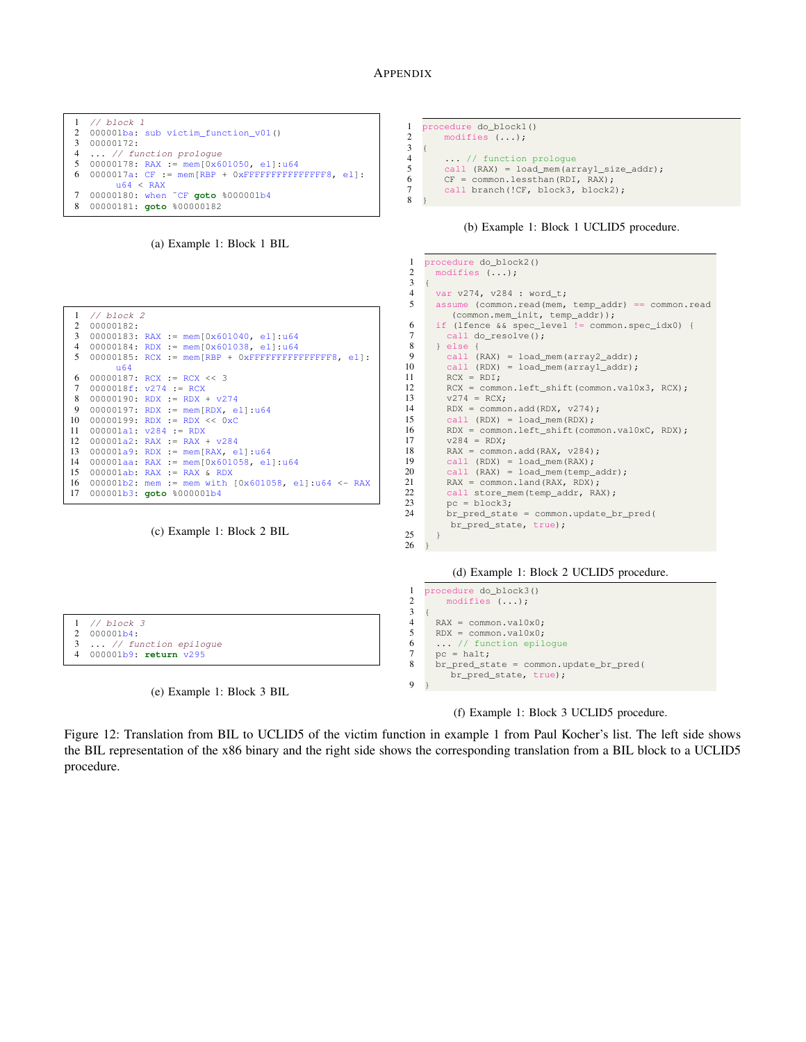# APPENDIX





00000185: RCX := mem[RBP + 0xFFFFFFFFFFFFFFF8, el]:

16 000001b2: mem := mem with  $[0x601058, e1]:u64 \leftarrow RAX$ <br>17 000001b3: goto  $\&000001b4$ 

(c) Example 1: Block 2 BIL

3 00000183: RAX := mem[0x601040, el]:u64<br>4 00000184: PDX := mom[0x601038, ol]:u64  $00000184: RDX := mem[0x601038, e1]:u64$ 

 $000001a9: RDX := mem[RAX, el]:u64$ 14 000001aa: RAX := mem[0x601058, el]:u64<br>15 000001ab: RAX := RAX & RDX  $000001ab$ : RAX := RAX & RDX

// block 2 00000182:

u64

 00000187: RCX := RCX << 3  $0000018f: v274 := RCX$ 8 00000190: RDX := RDX +  $v274$ <br>9 00000197: PDX := mem[PDX e 9 00000197: RDX := mem[RDX, el]:u64<br>10 00000199: RDX := RDX << 0xC 10 00000199: RDX := RDX << 0xC<br>11 000001a1:  $v284$  := RDX 11 000001a1: v284 := RDX<br>12 000001a2: RAX := RAX 12 000001a2: RAX := RAX + v284<br>13 000001a9: RDX := mem[RAX, e

000001b3: **goto** %000001b4

```
1 procedure do_block1()
2 modifies (...);
\begin{matrix}3\\4\end{matrix} {
         ... // function prologue
5 call (RAX) = load_mem(array1_size_addr);<br>6 CF = common.lessthan(RDI, RAX);
        CF = common.lessthan(RDI, RAX);
7 call branch(!CF, block3, block2);
   8 }
```










Figure 12: Translation from BIL to UCLID5 of the victim function in example 1 from Paul Kocher's list. The left side shows the BIL representation of the x86 binary and the right side shows the corresponding translation from a BIL block to a UCLID5 procedure.